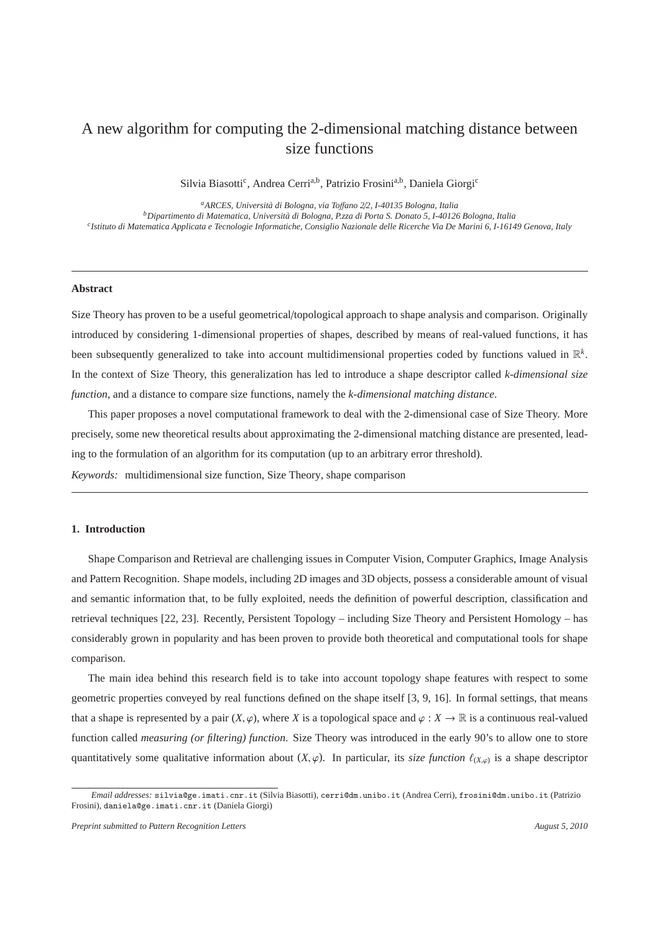# A new algorithm for computing the 2-dimensional matching distance between size functions

Silvia Biasotti<sup>c</sup>, Andrea Cerri<sup>a,b</sup>, Patrizio Frosini<sup>a,b</sup>, Daniela Giorgi<sup>c</sup>

*<sup>a</sup>ARCES, Universit`a di Bologna, via To*ff*ano 2*/*2, I-40135 Bologna, Italia <sup>b</sup>Dipartimento di Matematica, Universit`a di Bologna, P.zza di Porta S. Donato 5, I-40126 Bologna, Italia c Istituto di Matematica Applicata e Tecnologie Informatiche, Consiglio Nazionale delle Ricerche Via De Marini 6, I-16149 Genova, Italy*

#### **Abstract**

Size Theory has proven to be a useful geometrical/topological approach to shape analysis and comparison. Originally introduced by considering 1-dimensional properties of shapes, described by means of real-valued functions, it has been subsequently generalized to take into account multidimensional properties coded by functions valued in R *k* . In the context of Size Theory, this generalization has led to introduce a shape descriptor called *k-dimensional size function*, and a distance to compare size functions, namely the *k-dimensional matching distance*.

This paper proposes a novel computational framework to deal with the 2-dimensional case of Size Theory. More precisely, some new theoretical results about approximating the 2-dimensional matching distance are presented, leading to the formulation of an algorithm for its computation (up to an arbitrary error threshold).

*Keywords:* multidimensional size function, Size Theory, shape comparison

## **1. Introduction**

Shape Comparison and Retrieval are challenging issues in Computer Vision, Computer Graphics, Image Analysis and Pattern Recognition. Shape models, including 2D images and 3D objects, possess a considerable amount of visual and semantic information that, to be fully exploited, needs the definition of powerful description, classification and retrieval techniques [22, 23]. Recently, Persistent Topology – including Size Theory and Persistent Homology – has considerably grown in popularity and has been proven to provide both theoretical and computational tools for shape comparison.

The main idea behind this research field is to take into account topology shape features with respect to some geometric properties conveyed by real functions defined on the shape itself [3, 9, 16]. In formal settings, that means that a shape is represented by a pair  $(X, \varphi)$ , where *X* is a topological space and  $\varphi : X \to \mathbb{R}$  is a continuous real-valued function called *measuring (or filtering) function*. Size Theory was introduced in the early 90's to allow one to store quantitatively some qualitative information about  $(X, \varphi)$ . In particular, its *size function*  $\ell_{(X,\varphi)}$  is a shape descriptor

*Email addresses:* silvia@ge.imati.cnr.it (Silvia Biasotti), cerri@dm.unibo.it (Andrea Cerri), frosini@dm.unibo.it (Patrizio Frosini), daniela@ge.imati.cnr.it (Daniela Giorgi)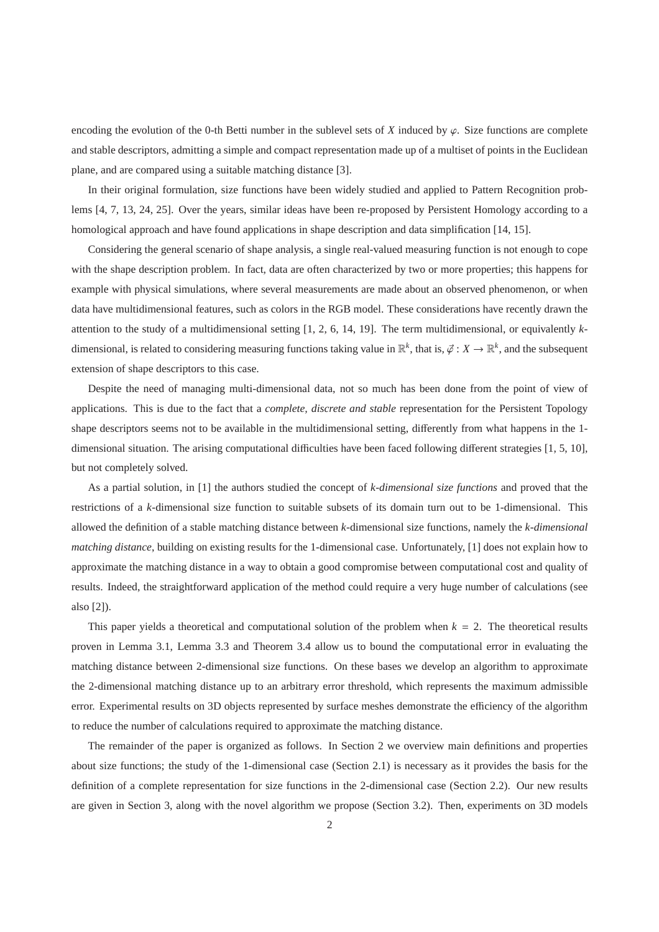encoding the evolution of the 0-th Betti number in the sublevel sets of  $X$  induced by  $\varphi$ . Size functions are complete and stable descriptors, admitting a simple and compact representation made up of a multiset of points in the Euclidean plane, and are compared using a suitable matching distance [3].

In their original formulation, size functions have been widely studied and applied to Pattern Recognition problems [4, 7, 13, 24, 25]. Over the years, similar ideas have been re-proposed by Persistent Homology according to a homological approach and have found applications in shape description and data simplification [14, 15].

Considering the general scenario of shape analysis, a single real-valued measuring function is not enough to cope with the shape description problem. In fact, data are often characterized by two or more properties; this happens for example with physical simulations, where several measurements are made about an observed phenomenon, or when data have multidimensional features, such as colors in the RGB model. These considerations have recently drawn the attention to the study of a multidimensional setting [1, 2, 6, 14, 19]. The term multidimensional, or equivalently *k*dimensional, is related to considering measuring functions taking value in  $\mathbb{R}^k$ , that is,  $\vec{\varphi}: X \to \mathbb{R}^k$ , and the subsequent extension of shape descriptors to this case.

Despite the need of managing multi-dimensional data, not so much has been done from the point of view of applications. This is due to the fact that a *complete, discrete and stable* representation for the Persistent Topology shape descriptors seems not to be available in the multidimensional setting, differently from what happens in the 1 dimensional situation. The arising computational difficulties have been faced following different strategies [1, 5, 10], but not completely solved.

As a partial solution, in [1] the authors studied the concept of *k*-*dimensional size functions* and proved that the restrictions of a *k*-dimensional size function to suitable subsets of its domain turn out to be 1-dimensional. This allowed the definition of a stable matching distance between *k*-dimensional size functions, namely the *k-dimensional matching distance*, building on existing results for the 1-dimensional case. Unfortunately, [1] does not explain how to approximate the matching distance in a way to obtain a good compromise between computational cost and quality of results. Indeed, the straightforward application of the method could require a very huge number of calculations (see also [2]).

This paper yields a theoretical and computational solution of the problem when  $k = 2$ . The theoretical results proven in Lemma 3.1, Lemma 3.3 and Theorem 3.4 allow us to bound the computational error in evaluating the matching distance between 2-dimensional size functions. On these bases we develop an algorithm to approximate the 2-dimensional matching distance up to an arbitrary error threshold, which represents the maximum admissible error. Experimental results on 3D objects represented by surface meshes demonstrate the efficiency of the algorithm to reduce the number of calculations required to approximate the matching distance.

The remainder of the paper is organized as follows. In Section 2 we overview main definitions and properties about size functions; the study of the 1-dimensional case (Section 2.1) is necessary as it provides the basis for the definition of a complete representation for size functions in the 2-dimensional case (Section 2.2). Our new results are given in Section 3, along with the novel algorithm we propose (Section 3.2). Then, experiments on 3D models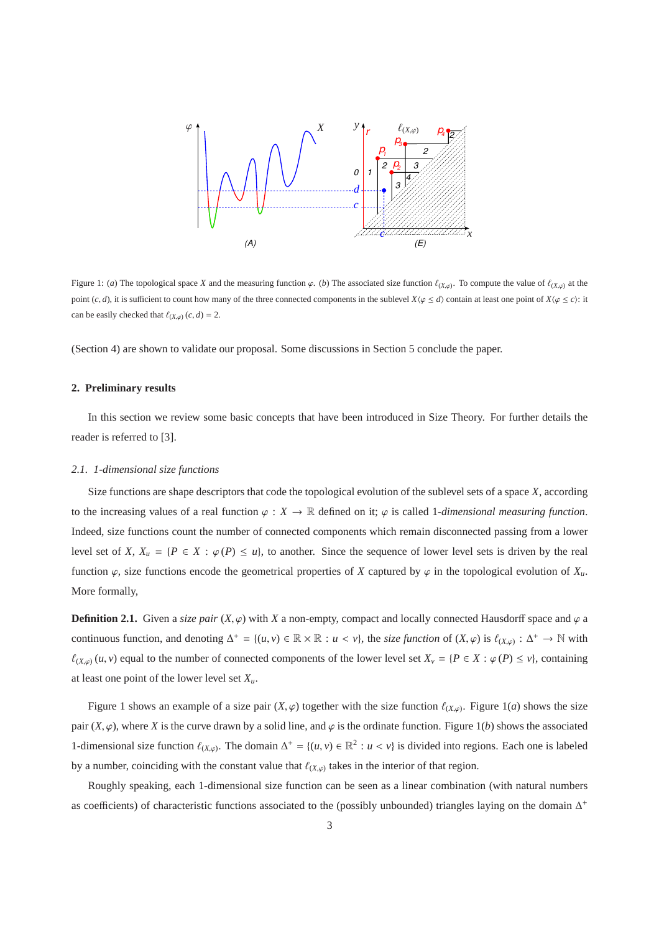

Figure 1: (*a*) The topological space *X* and the measuring function  $\varphi$ . (*b*) The associated size function  $\ell_{(X,\varphi)}$ . To compute the value of  $\ell_{(X,\varphi)}$  at the point  $(c, d)$ , it is sufficient to count how many of the three connected components in the sublevel  $X\langle \varphi \leq d \rangle$  contain at least one point of  $X\langle \varphi \leq c \rangle$ : it can be easily checked that  $\ell_{(X,\varphi)}(c, d) = 2$ .

(Section 4) are shown to validate our proposal. Some discussions in Section 5 conclude the paper.

## **2. Preliminary results**

In this section we review some basic concepts that have been introduced in Size Theory. For further details the reader is referred to [3].

#### *2.1. 1-dimensional size functions*

Size functions are shape descriptors that code the topological evolution of the sublevel sets of a space *X*, according to the increasing values of a real function  $\varphi : X \to \mathbb{R}$  defined on it;  $\varphi$  is called 1*-dimensional measuring function*. Indeed, size functions count the number of connected components which remain disconnected passing from a lower level set of *X*,  $X_u = {P \in X : \varphi(P) \le u}$ , to another. Since the sequence of lower level sets is driven by the real function  $\varphi$ , size functions encode the geometrical properties of *X* captured by  $\varphi$  in the topological evolution of  $X_u$ . More formally,

**Definition 2.1.** Given a *size pair*  $(X, \varphi)$  with *X* a non-empty, compact and locally connected Hausdorff space and  $\varphi$  a continuous function, and denoting  $\Delta^+ = \{(u, v) \in \mathbb{R} \times \mathbb{R} : u < v\}$ , the *size function* of  $(X, \varphi)$  is  $\ell_{(X, \varphi)} : \Delta^+ \to \mathbb{N}$  with  $\ell_{(X,\varphi)}(u, v)$  equal to the number of connected components of the lower level set  $X_v = \{P \in X : \varphi(P) \le v\}$ , containing at least one point of the lower level set *Xu*.

Figure 1 shows an example of a size pair  $(X, \varphi)$  together with the size function  $\ell_{(X,\varphi)}$ . Figure 1(*a*) shows the size pair  $(X, \varphi)$ , where *X* is the curve drawn by a solid line, and  $\varphi$  is the ordinate function. Figure 1(*b*) shows the associated 1-dimensional size function  $\ell_{(X,\varphi)}$ . The domain  $\Delta^+ = \{(u,v) \in \mathbb{R}^2 : u < v\}$  is divided into regions. Each one is labeled by a number, coinciding with the constant value that  $\ell_{(X,\varphi)}$  takes in the interior of that region.

Roughly speaking, each 1-dimensional size function can be seen as a linear combination (with natural numbers as coefficients) of characteristic functions associated to the (possibly unbounded) triangles laying on the domain  $\Delta^+$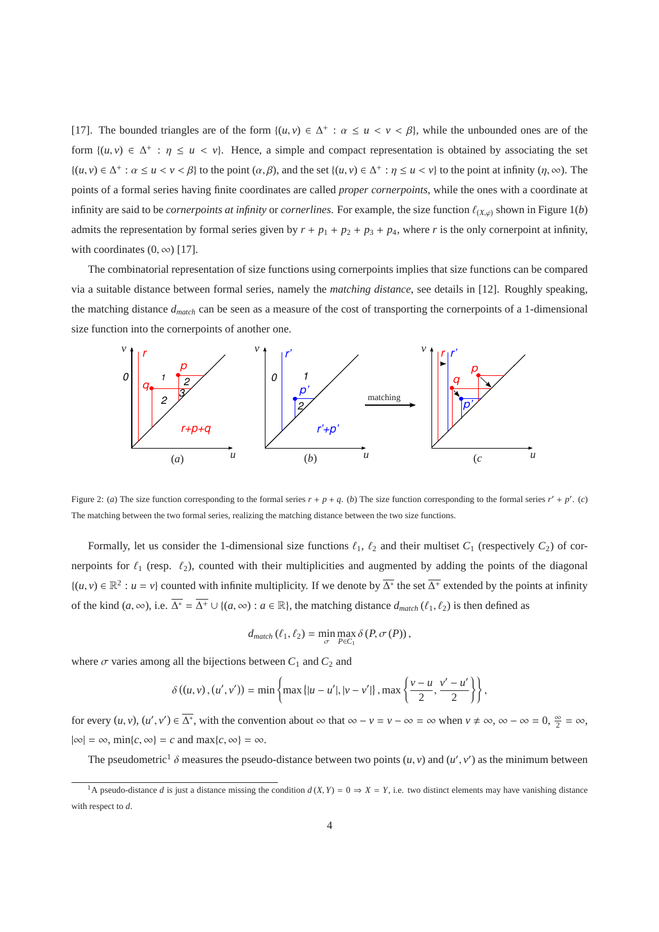[17]. The bounded triangles are of the form  $\{(u, v) \in \Delta^+ : \alpha \le u < v < \beta\}$ , while the unbounded ones are of the form  $\{(u, v) \in \Delta^+ : \eta \le u < v\}$ . Hence, a simple and compact representation is obtained by associating the set  $\{(u, v) \in \Delta^+ : \alpha \le u < v < \beta\}$  to the point  $(\alpha, \beta)$ , and the set  $\{(u, v) \in \Delta^+ : \eta \le u < v\}$  to the point at infinity  $(\eta, \infty)$ . The points of a formal series having finite coordinates are called *proper cornerpoints*, while the ones with a coordinate at infinity are said to be *cornerpoints at infinity* or *cornerlines*. For example, the size function  $\ell_{(X,\varphi)}$  shown in Figure 1(*b*) admits the representation by formal series given by  $r + p_1 + p_2 + p_3 + p_4$ , where *r* is the only cornerpoint at infinity, with coordinates  $(0, \infty)$  [17].

The combinatorial representation of size functions using cornerpoints implies that size functions can be compared via a suitable distance between formal series, namely the *matching distance*, see details in [12]. Roughly speaking, the matching distance *dmatch* can be seen as a measure of the cost of transporting the cornerpoints of a 1-dimensional size function into the cornerpoints of another one.



Figure 2: (*a*) The size function corresponding to the formal series  $r + p + q$ . (*b*) The size function corresponding to the formal series  $r' + p'$ . (*c*) The matching between the two formal series, realizing the matching distance between the two size functions.

Formally, let us consider the 1-dimensional size functions  $\ell_1$ ,  $\ell_2$  and their multiset  $C_1$  (respectively  $C_2$ ) of cornerpoints for  $\ell_1$  (resp.  $\ell_2$ ), counted with their multiplicities and augmented by adding the points of the diagonal  $\{(u, v) \in \mathbb{R}^2 : u = v\}$  counted with infinite multiplicity. If we denote by  $\overline{\Delta^*}$  the set  $\overline{\Delta^+}$  extended by the points at infinity of the kind  $(a, \infty)$ , i.e.  $\overline{\Delta^*} = \overline{\Delta^+} \cup \{(a, \infty) : a \in \mathbb{R}\}$ , the matching distance  $d_{match}(\ell_1, \ell_2)$  is then defined as

$$
d_{match}(\ell_1, \ell_2) = \min_{\sigma} \max_{P \in C_1} \delta(P, \sigma(P)),
$$

where  $\sigma$  varies among all the bijections between  $C_1$  and  $C_2$  and

$$
\delta((u, v), (u', v')) = \min \left\{ \max \left\{ |u - u'|, |v - v'| \right\}, \max \left\{ \frac{v - u}{2}, \frac{v' - u'}{2} \right\} \right\},\
$$

for every  $(u, v)$ ,  $(u', v') \in \overline{\Delta^*}$ , with the convention about  $\infty$  that  $\infty - v = v - \infty = \infty$  when  $v \neq \infty$ ,  $\infty - \infty = 0$ ,  $\frac{\infty}{2} = \infty$ ,  $|\infty| = \infty$ , min{*c*,  $\infty$ } = *c* and max{*c*,  $\infty$ } =  $\infty$ .

The pseudometric<sup>1</sup>  $\delta$  measures the pseudo-distance between two points  $(u, v)$  and  $(u', v')$  as the minimum between

<sup>&</sup>lt;sup>1</sup>A pseudo-distance *d* is just a distance missing the condition  $d(X, Y) = 0 \Rightarrow X = Y$ , i.e. two distinct elements may have vanishing distance with respect to *d*.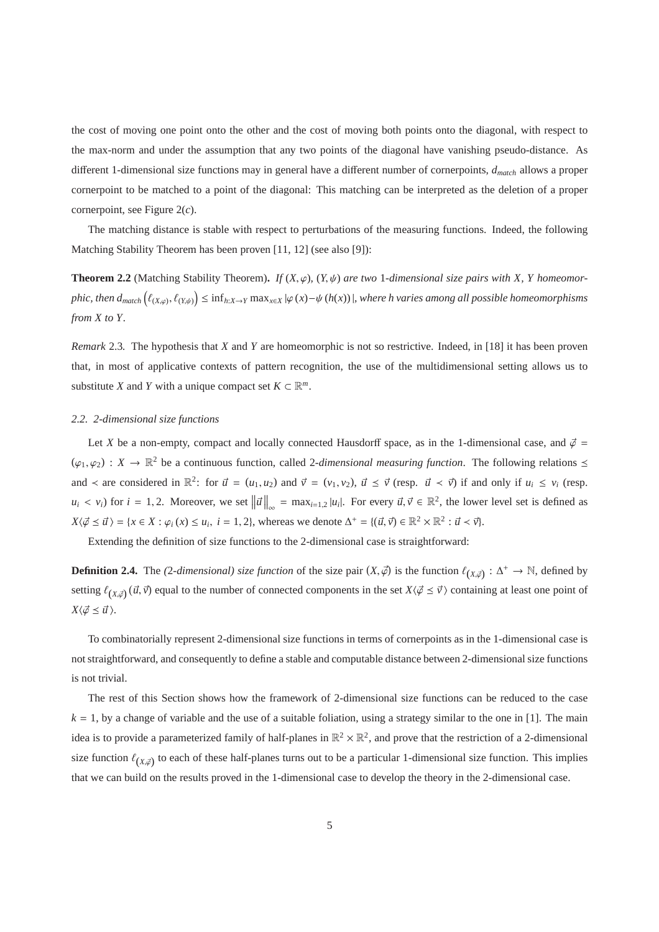the cost of moving one point onto the other and the cost of moving both points onto the diagonal, with respect to the max-norm and under the assumption that any two points of the diagonal have vanishing pseudo-distance. As different 1-dimensional size functions may in general have a different number of cornerpoints, *dmatch* allows a proper cornerpoint to be matched to a point of the diagonal: This matching can be interpreted as the deletion of a proper cornerpoint, see Figure 2(*c*).

The matching distance is stable with respect to perturbations of the measuring functions. Indeed, the following Matching Stability Theorem has been proven [11, 12] (see also [9]):

**Theorem 2.2** (Matching Stability Theorem). If  $(X, \varphi)$ ,  $(Y, \psi)$  are two 1-dimensional size pairs with X, Y homeomor $phic,$  then  $d_{match}\left(\ell_{(X,\varphi)},\ell_{(Y,\psi)}\right)\leq\inf_{h:X\to Y}\max_{x\in X}|\varphi\left(x\right)-\psi\left(h(x)\right)|$ , where h varies among all possible homeomorphisms *from X to Y.*

*Remark* 2.3*.* The hypothesis that *X* and *Y* are homeomorphic is not so restrictive. Indeed, in [18] it has been proven that, in most of applicative contexts of pattern recognition, the use of the multidimensional setting allows us to substitute *X* and *Y* with a unique compact set  $K \subset \mathbb{R}^m$ .

## *2.2. 2-dimensional size functions*

Let *X* be a non-empty, compact and locally connected Hausdorff space, as in the 1-dimensional case, and  $\phi =$  $(\varphi_1, \varphi_2) : X \to \mathbb{R}^2$  be a continuous function, called 2-dimensional measuring function. The following relations  $\leq$ and  $\prec$  are considered in  $\mathbb{R}^2$ : for  $\vec{u} = (u_1, u_2)$  and  $\vec{v} = (v_1, v_2)$ ,  $\vec{u} \leq \vec{v}$  (resp.  $\vec{u} \prec \vec{v}$ ) if and only if  $u_i \leq v_i$  (resp.  $u_i < v_i$ ) for  $i = 1, 2$ . Moreover, we set  $\|\vec{u}\|_{\infty} = \max_{i=1,2} |u_i|$ . For every  $\vec{u}, \vec{v} \in \mathbb{R}^2$ , the lower level set is defined as  $X\langle \vec{\varphi} \leq \vec{u} \rangle = \{x \in X : \varphi_i(x) \leq u_i, i = 1, 2\}$ , whereas we denote  $\Delta^+ = \{(\vec{u}, \vec{v}) \in \mathbb{R}^2 \times \mathbb{R}^2 : \vec{u} < \vec{v}\}\.$ 

Extending the definition of size functions to the 2-dimensional case is straightforward:

**Definition 2.4.** The *(2-dimensional) size function* of the size pair  $(X, \vec{\varphi})$  is the function  $\ell_{(X,\vec{\varphi})}: \Delta^+ \to \mathbb{N}$ , defined by setting  $\ell_{(X,\vec{\varphi})}(\vec{u},\vec{v})$  equal to the number of connected components in the set  $X\langle\vec{\varphi} \leq \vec{v}\rangle$  containing at least one point of  $X\langle \vec{\varphi} \leq \vec{u} \rangle$ .

To combinatorially represent 2-dimensional size functions in terms of cornerpoints as in the 1-dimensional case is not straightforward, and consequently to define a stable and computable distance between 2-dimensional size functions is not trivial.

The rest of this Section shows how the framework of 2-dimensional size functions can be reduced to the case  $k = 1$ , by a change of variable and the use of a suitable foliation, using a strategy similar to the one in [1]. The main idea is to provide a parameterized family of half-planes in  $\mathbb{R}^2 \times \mathbb{R}^2$ , and prove that the restriction of a 2-dimensional size function  $\ell_{(X,\vec{\varphi})}$  to each of these half-planes turns out to be a particular 1-dimensional size function. This implies that we can build on the results proved in the 1-dimensional case to develop the theory in the 2-dimensional case.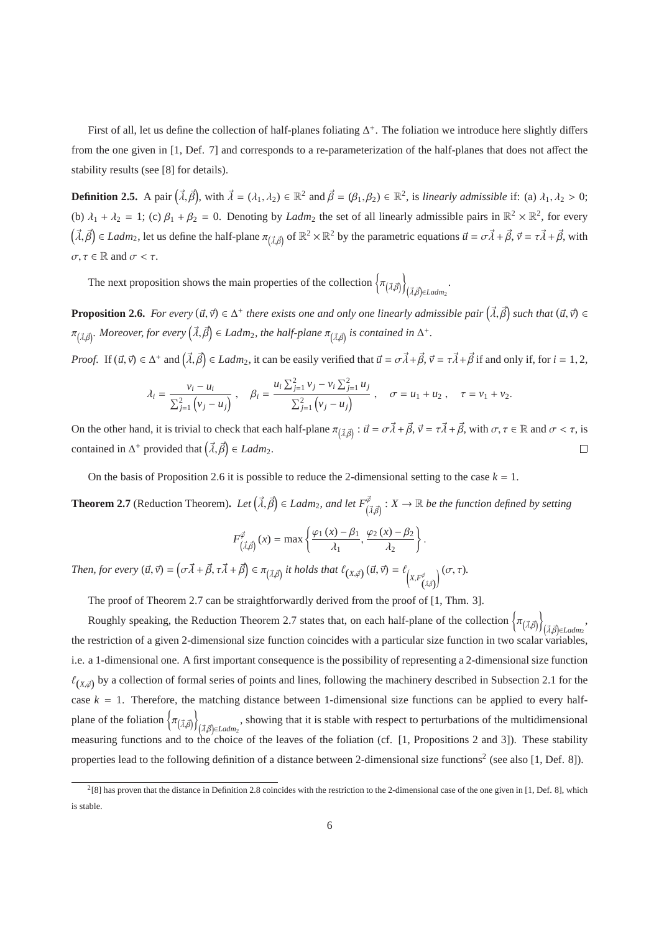First of all, let us define the collection of half-planes foliating  $\Delta^+$ . The foliation we introduce here slightly differs from the one given in [1, Def. 7] and corresponds to a re-parameterization of the half-planes that does not affect the stability results (see [8] for details).

**Definition 2.5.** A pair  $(\vec{\lambda}, \vec{\beta})$ , with  $\vec{\lambda} = (\lambda_1, \lambda_2) \in \mathbb{R}^2$  and  $\vec{\beta} = (\beta_1, \beta_2) \in \mathbb{R}^2$ , is *linearly admissible* if: (a)  $\lambda_1, \lambda_2 > 0$ ; (b)  $\lambda_1 + \lambda_2 = 1$ ; (c)  $\beta_1 + \beta_2 = 0$ . Denoting by *Ladm*<sub>2</sub> the set of all linearly admissible pairs in  $\mathbb{R}^2 \times \mathbb{R}^2$ , for every  $(\vec{\lambda}, \vec{\beta}) \in \text{Ladm}_2$ , let us define the half-plane  $\pi_{(\vec{\lambda}, \vec{\beta})}$  of  $\mathbb{R}^2 \times \mathbb{R}^2$  by the parametric equations  $\vec{u} = \sigma \vec{\lambda} + \vec{\beta}, \vec{v} = \tau \vec{\lambda} + \vec{\beta}$ , with  $\sigma, \tau \in \mathbb{R}$  and  $\sigma < \tau$ .

The next proposition shows the main properties of the collection  $\left\{ \pi_{(\vec{\lambda},\vec{\beta})} \right\}$ —<br>(*λ,้β*)∈Ladm<sub>2</sub>

**Proposition 2.6.** For every  $(\vec{u}, \vec{v}) \in \Delta^+$  there exists one and only one linearly admissible pair  $(\vec{\lambda}, \vec{\beta})$  such that  $(\vec{u}, \vec{v}) \in \Delta^+$  $\pi_{(\vec{\lambda},\vec{\beta})}.$  Moreover, for every  $(\vec{\lambda},\vec{\beta})\in Ladm_2$ , the half-plane  $\pi_{(\vec{\lambda},\vec{\beta})}$  is contained in  $\Delta^+.$ 

*Proof.* If  $(\vec{u}, \vec{v}) \in \Delta^+$  and  $(\vec{\lambda}, \vec{\beta}) \in \text{Ladm}_2$ , it can be easily verified that  $\vec{u} = \sigma \vec{\lambda} + \vec{\beta}, \vec{v} = \tau \vec{\lambda} + \vec{\beta}$  if and only if, for  $i = 1, 2,$ 

$$
\lambda_i = \frac{v_i - u_i}{\sum_{j=1}^2 \left(v_j - u_j\right)}, \quad \beta_i = \frac{u_i \sum_{j=1}^2 v_j - v_i \sum_{j=1}^2 u_j}{\sum_{j=1}^2 \left(v_j - u_j\right)}, \quad \sigma = u_1 + u_2 \,, \quad \tau = v_1 + v_2.
$$

On the other hand, it is trivial to check that each half-plane  $\pi_{(\vec{\lambda}, \vec{\beta})}$ :  $\vec{u} = \sigma \vec{\lambda} + \vec{\beta}, \vec{v} = \tau \vec{\lambda} + \vec{\beta}$ , with  $\sigma, \tau \in \mathbb{R}$  and  $\sigma < \tau$ , is contained in  $\Delta^+$  provided that  $(\vec{\lambda}, \vec{\beta}) \in \text{Ladm}_2$ .  $\Box$ 

On the basis of Proposition 2.6 it is possible to reduce the 2-dimensional setting to the case  $k = 1$ .

**Theorem 2.7** (Reduction Theorem). Let  $(\vec{\lambda}, \vec{\beta}) \in \text{Ladm}_2$ , and let  $F^{\vec{\varphi}}_{(\vec{\lambda}, \vec{\beta})} : X \to \mathbb{R}$  be the function defined by setting

$$
F_{(\vec{\lambda},\vec{\beta})}^{\vec{\varphi}}(x) = \max \left\{ \frac{\varphi_1(x) - \beta_1}{\lambda_1}, \frac{\varphi_2(x) - \beta_2}{\lambda_2} \right\}.
$$

 $\mathcal{T}$ hen, for every  $(\vec{u}, \vec{v}) = (\sigma \vec{\lambda} + \vec{\beta}, \tau \vec{\lambda} + \vec{\beta}) \in \pi_{(\vec{\lambda}, \vec{\beta})}$  it holds that  $\ell_{(X, \vec{\varphi})}(\vec{u}, \vec{v}) = \ell_{\left(X, F^{\vec{\varphi}}_{(\vec{\lambda}, \vec{\beta})}\right)}$  $\sigma$   $(\sigma, \tau)$ *.* 

The proof of Theorem 2.7 can be straightforwardly derived from the proof of [1, Thm. 3].

Roughly speaking, the Reduction Theorem 2.7 states that, on each half-plane of the collection  $\left\{\pi_{(\vec{\lambda},\vec{\beta})}\right\}$ (*λ,β*)∈Ladm2<sup>,</sup> the restriction of a given 2-dimensional size function coincides with a particular size function in two scalar variables, i.e. a 1-dimensional one. A first important consequence is the possibility of representing a 2-dimensional size function  $\ell_{(X,\vec{\varphi})}$  by a collection of formal series of points and lines, following the machinery described in Subsection 2.1 for the case  $k = 1$ . Therefore, the matching distance between 1-dimensional size functions can be applied to every halfplane of the foliation  $\left\{\pi_{(\vec{\lambda}, \vec{\beta})}\right\}$ , showing that it is stable with respect to perturbations of the multidimensional ( $\vec{λ}$  $\vec{β}$ ) $\in$ *Ladm*<sub>2</sub> measuring functions and to the choice of the leaves of the foliation (cf. [1, Propositions 2 and 3]). These stability properties lead to the following definition of a distance between 2-dimensional size functions<sup>2</sup> (see also [1, Def. 8]).

 $^{2}$ [8] has proven that the distance in Definition 2.8 coincides with the restriction to the 2-dimensional case of the one given in [1, Def. 8], which is stable.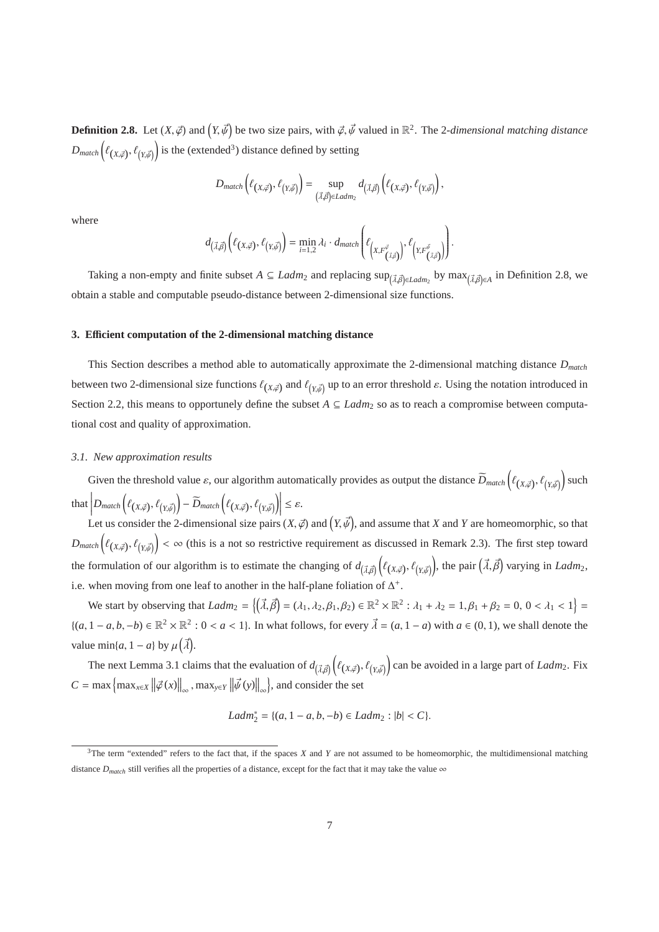**Definition 2.8.** Let  $(X, \vec{\phi})$  and  $(Y, \vec{\psi})$  be two size pairs, with  $\vec{\phi}, \vec{\psi}$  valued in  $\mathbb{R}^2$ . The 2-dimensional matching distance  $D_{match}\left(\ell_{(X,\vec{\varphi})},\ell_{(Y,\vec{\varphi})}\right)$  is the (extended<sup>3</sup>) distance defined by setting

$$
D_{match}\left(\ell_{(X,\vec{\varphi})},\ell_{(Y,\vec{\psi})}\right)=\sup_{\left(\vec{\lambda},\vec{\beta}\right)\in Ladm_2}d_{\left(\vec{\lambda},\vec{\beta}\right)}\left(\ell_{\left(X,\vec{\varphi}\right)},\ell_{\left(Y,\vec{\psi}\right)}\right),
$$

where

$$
d_{(\vec{\lambda},\vec{\beta})}\left(\ell_{(X,\vec{\varphi})},\ell_{(Y,\vec{\psi})}\right)=\min_{i=1,2}\lambda_i\cdot d_{match}\left(\ell_{\left(X,\vec{F}^{\vec{\varphi}}_{(\vec{\lambda},\vec{\beta})}\right)},\ell_{\left(Y,\vec{F}^{\vec{\psi}}_{(\vec{\lambda},\vec{\beta})}\right)}\right).
$$

Taking a non-empty and finite subset  $A \subseteq Ladm_2$  and replacing  $sup_{(\vec{\lambda}, \vec{\beta}) \in Ladm_2}$  by  $max_{(\vec{\lambda}, \vec{\beta}) \in A}$  in Definition 2.8, we obtain a stable and computable pseudo-distance between 2-dimensional size functions.

#### **3. E**ffi**cient computation of the 2-dimensional matching distance**

This Section describes a method able to automatically approximate the 2-dimensional matching distance *Dmatch* between two 2-dimensional size functions  $\ell_{(X,\vec{\phi})}$  and  $\ell_{(Y,\vec{\phi})}$  up to an error threshold  $\varepsilon$ . Using the notation introduced in Section 2.2, this means to opportunely define the subset  $A \subseteq \text{Ladm}_2$  so as to reach a compromise between computational cost and quality of approximation.

### *3.1. New approximation results*

Given the threshold value  $\varepsilon$ , our algorithm automatically provides as output the distance  $\widetilde{D}_{match}\left(\ell_{(X,\vec{\varphi})},\ell_{(Y,\vec{\varphi})}\right)$  such  ${\rm that}\left[D_{match}\left(\ell_{\left(X,\vec{\varphi}\right)},\ell_{\left(Y,\vec{\varphi}\right)}\right)-\widetilde{D}_{match}\left(\ell_{\left(X,\vec{\varphi}\right)},\ell_{\left(Y,\vec{\varphi}\right)}\right)\right]$  $\leq \varepsilon$ .

Let us consider the 2-dimensional size pairs  $(X, \vec{\phi})$  and  $(Y, \vec{\psi})$ , and assume that *X* and *Y* are homeomorphic, so that  $D_{match}\left(\ell_{(X,\vec{\varphi})},\ell_{(Y,\vec{\varphi})}\right)$  <  $\infty$  (this is a not so restrictive requirement as discussed in Remark 2.3). The first step toward the formulation of our algorithm is to estimate the changing of  $d_{(\vec{\lambda}, \vec{\beta})} (\ell_{(X, \vec{\beta})}, \ell_{(Y, \vec{\psi})})$ , the pair  $(\vec{\lambda}, \vec{\beta})$  varying in *Ladm*<sub>2</sub>, i.e. when moving from one leaf to another in the half-plane foliation of  $\Delta^+$ .

We start by observing that  $Ladm_2 = \{(\vec{\lambda}, \vec{\beta}) = (\lambda_1, \lambda_2, \beta_1, \beta_2) \in \mathbb{R}^2 \times \mathbb{R}^2 : \lambda_1 + \lambda_2 = 1, \beta_1 + \beta_2 = 0, 0 < \lambda_1 < 1\}$  ${(a, 1 - a, b, -b) \in \mathbb{R}^2 \times \mathbb{R}^2 : 0 < a < 1}$ . In what follows, for every  $\vec{\lambda} = (a, 1 - a)$  with  $a \in (0, 1)$ , we shall denote the value min{*a*, 1 – *a*} by  $\mu(\vec{\lambda})$ .

The next Lemma 3.1 claims that the evaluation of  $d_{(\vec{\lambda}, \vec{\beta})}(\ell_{(X, \vec{\phi})}, \ell_{(Y, \vec{\phi})})$  can be avoided in a large part of *Ladm*<sub>2</sub>. Fix  $C = \max \left\{ \max_{x \in X} \left\| \vec{\varphi}(x) \right\|_{\infty}, \max_{y \in Y} \left\| \vec{\psi}(y) \right\|_{\infty} \right\}$ , and consider the set

$$
Ladm_2^* = \{(a, 1 - a, b, -b) \in Ladm_2 : |b| < C\}.
$$

<sup>3</sup>The term "extended" refers to the fact that, if the spaces *X* and *Y* are not assumed to be homeomorphic, the multidimensional matching distance  $D_{match}$  still verifies all the properties of a distance, except for the fact that it may take the value  $\infty$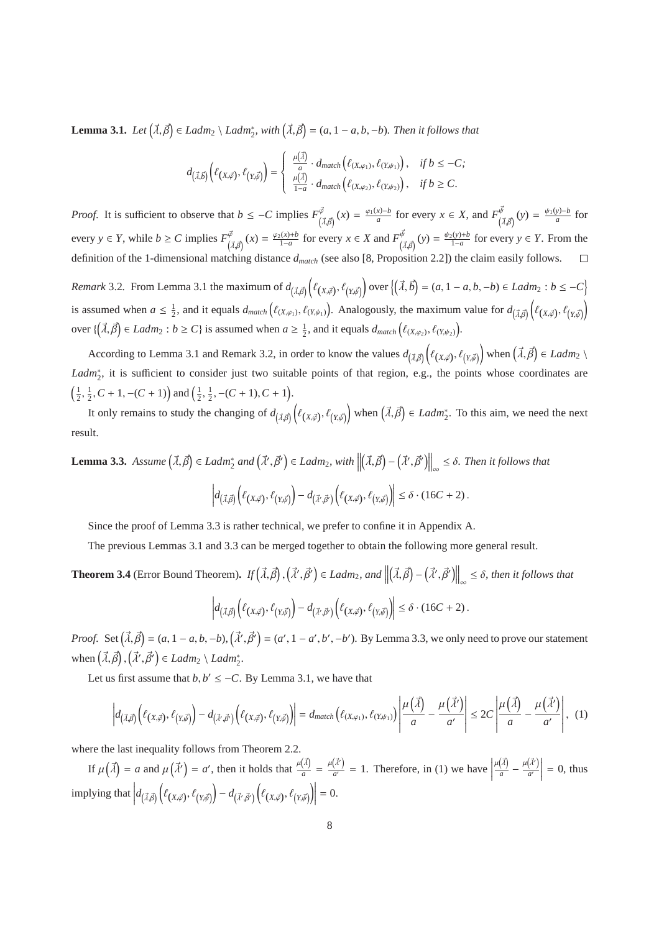**Lemma 3.1.** *Let*  $(\vec{\lambda}, \vec{\beta}) \in \text{Ladm}_2 \setminus \text{Ladm}_2^*$ , with  $(\vec{\lambda}, \vec{\beta}) = (a, 1 - a, b, -b)$ . Then it follows that

$$
d_{\left(\vec{\lambda},\vec{b}\right)}\left(\ell_{\left(X,\vec{\varphi}\right)},\ell_{\left(Y,\vec{\varphi}\right)}\right)=\left\{\begin{array}{l} \frac{\mu(\vec{\lambda})}{a}\cdot d_{match}\left(\ell_{\left(X,\varphi_{1}\right)},\ell_{\left(Y,\psi_{1}\right)}\right), & \text{ if } b\leq-C; \\ \frac{\mu(\vec{\lambda})}{1-a}\cdot d_{match}\left(\ell_{\left(X,\varphi_{2}\right)},\ell_{\left(Y,\psi_{2}\right)}\right), & \text{ if } b\geq C. \end{array}\right.
$$

*Proof.* It is sufficient to observe that  $b \leq -C$  implies  $F^{\vec{\varphi}}_{(\vec{\lambda}, \vec{\beta})}(x) = \frac{\varphi_1(x) - b}{a}$  for every  $x \in X$ , and  $F^{\vec{\psi}}_{(\vec{\lambda}, \vec{\beta})}(y) = \frac{\psi_1(y) - b}{a}$  for every  $y \in Y$ , while  $b \ge C$  implies  $F^{\vec{\varphi}}_{(\vec{\lambda}, \vec{\beta})}(x) = \frac{\varphi_2(x) + b}{1 - a}$  for every  $x \in X$  and  $F^{\vec{\psi}}_{(\vec{\lambda}, \vec{\beta})}(y) = \frac{\psi_2(y) + b}{1 - a}$  for every  $y \in Y$ . From the definition of the 1-dimensional matching distance *dmatch* (see also [8, Proposition 2.2]) the claim easily follows.  $\Box$ 

*Remark* 3.2. From Lemma 3.1 the maximum of  $d_{(\vec{\lambda}, \vec{\beta})} \left( \ell_{(X, \vec{\beta})}, \ell_{(Y, \vec{\beta})} \right)$  over  $\left( (\vec{\lambda}, \vec{b}) = (a, 1 - a, b, -b) \in \text{Ladm}_2 : b \leq -C \right)$ is assumed when  $a \leq \frac{1}{2}$ , and it equals  $d_{match}(\ell_{(X,\varphi_1)}, \ell_{(Y,\psi_1)})$ . Analogously, the maximum value for  $d_{(\vec{\lambda},\vec{\beta})}(\ell_{(X,\vec{\phi})}, \ell_{(Y,\vec{\psi})})$ over  $\{(\vec{\lambda}, \vec{\beta}) \in \text{Ladm}_2 : b \ge C\}$  is assumed when  $a \ge \frac{1}{2}$ , and it equals  $d_{match}(\ell_{(X,\varphi_2)}, \ell_{(Y,\psi_2)})$ .

According to Lemma 3.1 and Remark 3.2, in order to know the values  $d_{(\vec{\lambda}, \vec{\beta})} \left( \ell_{(X, \vec{\varphi})}, \ell_{(Y, \vec{\psi})} \right)$  when  $(\vec{\lambda}, \vec{\beta}) \in \text{Ladm}_2 \setminus \ell_{(\vec{\lambda}, \vec{\beta})}$ Ladm<sup>∗</sup><sub>2</sub>, it is sufficient to consider just two suitable points of that region, e.g., the points whose coordinates are  $\left(\frac{1}{2}, \frac{1}{2}, C+1, -(C+1)\right)$  and  $\left(\frac{1}{2}, \frac{1}{2}, -(C+1), C+1\right)$ .

It only remains to study the changing of  $d_{(\vec{\lambda},\vec{\beta})}(\ell_{(X,\vec{\phi})},\ell_{(Y,\vec{\phi})})$  when  $(\vec{\lambda},\vec{\beta}) \in \text{Ladm}_2^*$ . To this aim, we need the next result.

**Lemma 3.3.** *Assume*  $(\vec{\lambda}, \vec{\beta}) \in \text{Ladm}_{2}^{*}$  and  $(\vec{\lambda}', \vec{\beta}') \in \text{Ladm}_{2}$ , with  $\|\$  $(\vec{\lambda}, \vec{\beta}) - (\vec{\lambda}', \vec{\beta}') \Big\|_{\infty} \leq \delta$ . Then it follows that  $\begin{array}{c} \hline \end{array}$  $d_{(\vec{\lambda},\vec{\beta})}\Big(\ell_{(X,\vec{\varphi})},\ell_{(Y,\vec{\psi})}\Big) - d_{(\vec{\lambda}',\vec{\beta}')} \Big(\ell_{(X,\vec{\varphi})},\ell_{(Y,\vec{\psi})}\Big)$  $\leq \delta \cdot (16C + 2)$ .

Since the proof of Lemma 3.3 is rather technical, we prefer to confine it in Appendix A.

The previous Lemmas 3.1 and 3.3 can be merged together to obtain the following more general result.

**Theorem 3.4** (Error Bound Theorem). *If*  $(\vec{\lambda}, \vec{\beta})$ ,  $(\vec{\lambda}', \vec{\beta}') \in \text{Ladm}_2$ , and  $\|$  $(\vec{\lambda}, \vec{\beta}) - (\vec{\lambda}', \vec{\beta}') \Big\|_{\infty} \leq \delta$ , then it follows that

$$
\left|d_{\left(\vec{\lambda},\vec{\beta}\right)}\left(\ell_{\left(X,\vec{\varphi}\right)},\ell_{\left(Y,\vec{\psi}\right)}\right)-d_{\left(\vec{\lambda}',\vec{\beta}'\right)}\left(\ell_{\left(X,\vec{\varphi}\right)},\ell_{\left(Y,\vec{\psi}\right)}\right)\right|\leq\delta\cdot\left(16C+2\right).
$$

*Proof.* Set  $(\vec{\lambda}, \vec{\beta}) = (a, 1 - a, b, -b), (\vec{\lambda}', \vec{\beta}') = (a', 1 - a', b', -b')$ . By Lemma 3.3, we only need to prove our statement when  $(\vec{\lambda}, \vec{\beta}), (\vec{\lambda}', \vec{\beta}') \in Ladm_2 \setminus Ladm_2^*$ .

Let us first assume that  $b, b' \leq -C$ . By Lemma 3.1, we have that

$$
\left|d_{\left(\vec{\lambda},\vec{\beta}\right)}\left(\ell_{\left(X,\vec{\varphi}\right)},\ell_{\left(Y,\vec{\psi}\right)}\right)-d_{\left(\vec{\lambda}',\vec{\beta}'\right)}\left(\ell_{\left(X,\vec{\varphi}\right)},\ell_{\left(Y,\vec{\psi}\right)}\right)\right|=d_{match}\left(\ell_{\left(X,\varphi_{1}\right)},\ell_{\left(Y,\psi_{1}\right)}\right)\left|\frac{\mu\left(\vec{\lambda}\right)}{a}-\frac{\mu\left(\vec{\lambda}'\right)}{a'}\right|\leq 2C\left|\frac{\mu\left(\vec{\lambda}\right)}{a}-\frac{\mu\left(\vec{\lambda}'\right)}{a'}\right|,\tag{1}
$$

where the last inequality follows from Theorem 2.2.

If  $\mu(\vec{\lambda}) = a$  and  $\mu(\vec{\lambda}') = a'$ , then it holds that  $\frac{\mu(\vec{\lambda})}{a}$  $\frac{(\vec{\lambda})}{a} = \frac{\mu(\vec{\lambda}')}{a'}$  $\frac{(\tilde{x})}{a'}$  = 1. Therefore, in (1) we have  $\mu(\vec{\lambda})$  $\frac{(\vec{\lambda})}{a} - \frac{\mu(\vec{\lambda}')}{a'}$  $\left(\vec{\lambda}'\right)$ <br> $a'$  $= 0$ , thus implying that       $d_{(\vec{\lambda},\vec{\beta})}\left(\ell_{(X,\vec{\varphi})},\ell_{(Y,\vec{\psi})}\right)-d_{(\vec{\lambda}',\vec{\beta}')} \left(\ell_{(X,\vec{\varphi})},\ell_{(Y,\vec{\psi})}\right)$  $= 0.$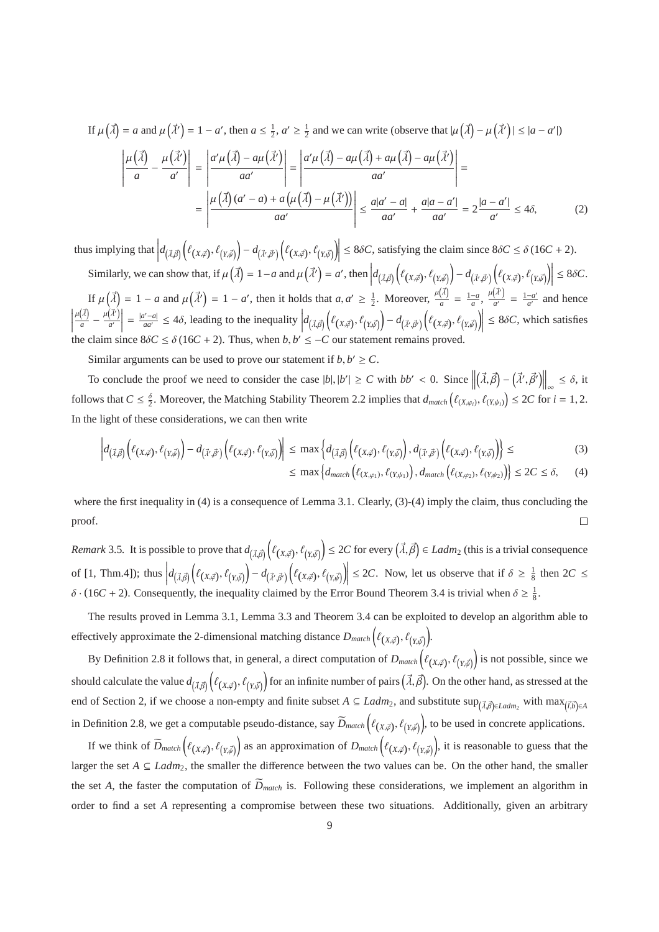If 
$$
\mu(\vec{\lambda}) = a
$$
 and  $\mu(\vec{\lambda}') = 1 - a'$ , then  $a \le \frac{1}{2}$ ,  $a' \ge \frac{1}{2}$  and we can write (observe that  $|\mu(\vec{\lambda}) - \mu(\vec{\lambda}')| \le |a - a'|$ )  
\n
$$
\left| \frac{\mu(\vec{\lambda})}{a} - \frac{\mu(\vec{\lambda}')}{a'} \right| = \left| \frac{a'\mu(\vec{\lambda}) - a\mu(\vec{\lambda}')}{aa'} \right| = \left| \frac{a'\mu(\vec{\lambda}) - a\mu(\vec{\lambda}) + a\mu(\vec{\lambda}) - a\mu(\vec{\lambda}')}{aa'} \right| =
$$
\n
$$
= \left| \frac{\mu(\vec{\lambda})(a' - a) + a(\mu(\vec{\lambda}) - \mu(\vec{\lambda}'))}{aa'} \right| \le \frac{a|a' - a|}{aa'} + \frac{a|a - a'|}{aa'} = 2\frac{|a - a'|}{a'} \le 4\delta,
$$
\n(2)

thus implying that  $\left| d_{(\vec{\lambda},\vec{\beta})} \left( \ell(x,\vec{\beta}), \ell(y,\vec{\beta}) \right) - d_{(\vec{\lambda}',\vec{\beta}')} \left( \ell(x,\vec{\beta}), \ell(y,\vec{\beta}) \right) \right| \leq 8\delta C$ , satisfying the claim since  $8\delta C \leq \delta (16C + 2)$ .  $\left[ \begin{array}{cc} (\lambda, \beta) \end{array} \right] \left[ \begin{array}{cc} (\lambda, \varphi)' & (I, \psi) \end{array} \right] \left[ \begin{array}{cc} (\lambda', \beta') & (\lambda, \varphi)' & (I, \psi) \end{array} \right]$ Similarly, we can show that, if  $\mu(\vec{\lambda}) = 1 - a$  and  $\mu(\vec{\lambda}') = a'$ , then  $d_{(\vec{\lambda},\vec{\beta})}\left(\ell(x,\vec{\beta}),\ell(y,\vec{\mu}) - d_{(\vec{\lambda}',\vec{\beta}')} \left(\ell(x,\vec{\beta}),\ell(y,\vec{\mu})\right) \right) \le 8\delta C$ .

 $\left[ \begin{array}{cc} (\lambda, \beta) \end{array} \right] \left[ \begin{array}{cc} (\lambda, \varphi)' & (\lambda, \varphi') & (\lambda, \varphi) \end{array} \right]$ If  $\mu(\vec{\lambda}) = 1 - a$  and  $\mu(\vec{\lambda}') = 1 - a'$ , then it holds that  $a, a' \geq \frac{1}{2}$ . Moreover,  $\frac{\mu(\vec{\lambda})}{a}$  $\frac{(\vec{\lambda})}{a} = \frac{1-a}{a}, \frac{\mu(\vec{\lambda}')}{a'}$  $\frac{d^{2}}{a'} = \frac{1-a'}{a'}$  $\frac{-a'}{a'}$  and hence  $\begin{array}{c} \n\end{array}$  $\mu(\vec{\lambda})$  $\frac{(\vec{\lambda})}{a} - \frac{\mu(\vec{\lambda}')}{a'}$  $\left(\vec{\lambda}'\right)$ <br> $\left.\vec{a}'\right|$  $=\frac{|a'-a|}{aa'} \leq 4\delta$ , leading to the inequality  $d_{(\vec{\lambda},\vec{\beta})}\left(\ell_{(X,\vec{\varphi})},\ell_{(Y,\vec{\psi})}\right)-d_{(\vec{\lambda}',\vec{\beta}')} \left(\ell_{(X,\vec{\varphi})},\ell_{(Y,\vec{\psi})}\right)$  $\leq 8\delta C$ , which satisfies the claim since  $8\delta C \leq \delta (16C + 2)$ . Thus, when  $b, b' \leq -C$  our statement remains proved.

Similar arguments can be used to prove our statement if  $b, b' \ge C$ .

To conclude the proof we need to consider the case  $|b|, |b'| \ge C$  with  $bb' < 0$ . Since  $(\vec{\lambda}, \vec{\beta}) - (\vec{\lambda}', \vec{\beta}') \Big\|_{\infty} \leq \delta, \text{ it}$ follows that  $C \leq \frac{\delta}{2}$ . Moreover, the Matching Stability Theorem 2.2 implies that  $d_{match}(\ell_{(X,\varphi_i)}, \ell_{(Y,\psi_i)}) \leq 2C$  for  $i = 1, 2$ . In the light of these considerations, we can then write

$$
\left| d_{(\vec{\lambda},\vec{\beta})} \left( \ell_{(X,\vec{\varphi})}, \ell_{(Y,\vec{\psi})} \right) - d_{(\vec{\lambda}',\vec{\beta}')} \left( \ell_{(X,\vec{\varphi})}, \ell_{(Y,\vec{\psi})} \right) \right| \le \max \left\{ d_{(\vec{\lambda},\vec{\beta})} \left( \ell_{(X,\vec{\varphi})}, \ell_{(Y,\vec{\psi})} \right), d_{(\vec{\lambda}',\vec{\beta}')} \left( \ell_{(X,\vec{\varphi})}, \ell_{(Y,\vec{\psi})} \right) \right\} \le (3)
$$
\n
$$
\le \max \left\{ d_{match} \left( \ell_{(X,\varphi_1)}, \ell_{(Y,\psi_1)} \right), d_{match} \left( \ell_{(X,\varphi_2)}, \ell_{(Y,\psi_2)} \right) \right\} \le 2C \le \delta, \quad (4)
$$

where the first inequality in (4) is a consequence of Lemma 3.1. Clearly, (3)-(4) imply the claim, thus concluding the  $\Box$ proof.

*Remark* 3.5. It is possible to prove that  $d_{(\vec{\lambda}, \vec{\beta})} \left( \ell_{(X, \vec{\varphi})}, \ell_{(Y, \vec{\psi})} \right) \leq 2C$  for every  $(\vec{\lambda}, \vec{\beta}) \in \mathcal{L}adm_2$  (this is a trivial consequence of  $[1, Thm.4]$ ; thus  $d_{(\vec{\lambda},\vec{\beta})}\left(\ell_{(X,\vec{\varphi})},\ell_{(Y,\vec{\psi})}\right)-d_{(\vec{\lambda}',\vec{\beta}')} \left(\ell_{(X,\vec{\varphi})},\ell_{(Y,\vec{\psi})}\right)$  $\leq$  2*C*. Now, let us observe that if  $\delta \geq \frac{1}{8}$  then 2*C*  $\leq$  $\delta \cdot (16C + 2)$ . Consequently, the inequality claimed by the Error Bound Theorem 3.4 is trivial when  $\delta \ge \frac{1}{8}$ .

The results proved in Lemma 3.1, Lemma 3.3 and Theorem 3.4 can be exploited to develop an algorithm able to effectively approximate the 2-dimensional matching distance  $D_{match}$   $(\ell_{(X,\vec{\phi})}, \ell_{(Y,\vec{\phi})})$ .

By Definition 2.8 it follows that, in general, a direct computation of  $D_{match}(\ell_{(X,\vec{\phi})}, \ell_{(Y,\vec{\phi})})$  is not possible, since we should calculate the value  $d_{(\vec{\lambda},\vec{\beta})}\Big(\ell_{(X,\vec{\phi})},\ell_{(Y,\vec{\phi})}\Big)$  for an infinite number of pairs  $(\vec{\lambda},\vec{\beta})$ . On the other hand, as stressed at the end of Section 2, if we choose a non-empty and finite subset  $A \subseteq Ladm_2$ , and substitute  $\sup_{(\vec{\lambda}, \vec{\beta}) \in Ladm_2}$  with  $\max_{(\vec{\lambda}, \vec{\beta}) \in A}$ in Definition 2.8, we get a computable pseudo-distance, say  $\widetilde{D}_{match}(\ell_{(X,\vec{\phi})}, \ell_{(Y,\vec{\phi})})$ , to be used in concrete applications.

If we think of  $\widetilde{D}_{match}\left(\ell_{(X,\vec{\varphi})},\ell_{(Y,\vec{\varphi})}\right)$  as an approximation of  $D_{match}\left(\ell_{(X,\vec{\varphi})},\ell_{(Y,\vec{\varphi})}\right)$ , it is reasonable to guess that the larger the set *A* ⊆ *Ladm*2, the smaller the difference between the two values can be. On the other hand, the smaller the set *A*, the faster the computation of  $\overline{D}_{match}$  is. Following these considerations, we implement an algorithm in order to find a set *A* representing a compromise between these two situations. Additionally, given an arbitrary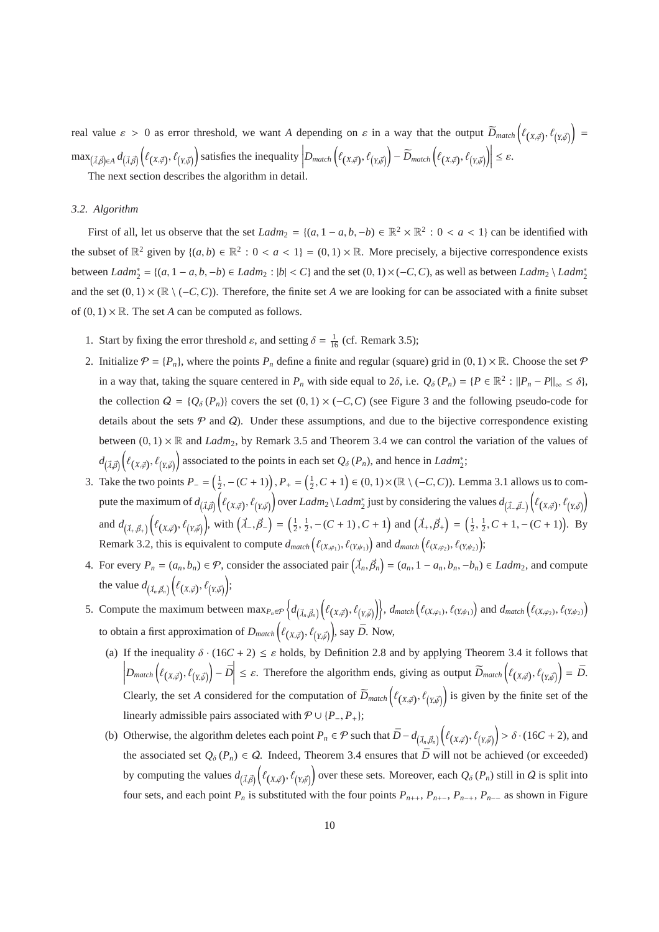real value  $\varepsilon > 0$  as error threshold, we want *A* depending on  $\varepsilon$  in a way that the output  $\widetilde{D}_{match}(\ell_{(X,\vec{\phi})},\ell_{(Y,\vec{\phi})}) =$  $\max_{(\vec{\lambda},\vec{\beta})\in A} d_{(\vec{\lambda},\vec{\beta})}\Big(\ell_{(X,\vec{\varphi})},\ell_{(Y,\vec{\psi})}\Big)$  satisfies the inequality  $\Big|D_{match}\Big(\ell_{(X,\vec{\varphi})},\ell_{(Y,\vec{\psi})}\Big) - \widetilde{D}_{match}\Big(\ell_{(X,\vec{\varphi})},\ell_{(Y,\vec{\psi})}\Big)\Big|$  $\leq \varepsilon$ .

The next section describes the algorithm in detail.

## *3.2. Algorithm*

First of all, let us observe that the set  $Ladm_2 = \{(a, 1 - a, b, -b) \in \mathbb{R}^2 \times \mathbb{R}^2 : 0 < a < 1\}$  can be identified with the subset of  $\mathbb{R}^2$  given by  $\{(a, b) \in \mathbb{R}^2 : 0 < a < 1\} = (0, 1) \times \mathbb{R}$ . More precisely, a bijective correspondence exists between  $Ladm_2^* = \{(a, 1 - a, b, -b) \in Ladm_2 : |b| < C\}$  and the set  $(0, 1) \times (-C, C)$ , as well as between  $Ladm_2 \setminus Ladm_2^*$ and the set  $(0, 1) \times (\mathbb{R} \setminus (-C, C))$ . Therefore, the finite set *A* we are looking for can be associated with a finite subset of  $(0, 1) \times \mathbb{R}$ . The set *A* can be computed as follows.

- 1. Start by fixing the error threshold  $\varepsilon$ , and setting  $\delta = \frac{1}{16}$  (cf. Remark 3.5);
- 2. Initialize  $\mathcal{P} = \{P_n\}$ , where the points  $P_n$  define a finite and regular (square) grid in  $(0, 1) \times \mathbb{R}$ . Choose the set  $\mathcal{P}$ in a way that, taking the square centered in  $P_n$  with side equal to 2 $\delta$ , i.e.  $Q_{\delta}(P_n) = \{P \in \mathbb{R}^2 : ||P_n - P||_{\infty} \leq \delta\}$ , the collection  $Q = \{Q_\delta(P_n)\}\)$  covers the set  $(0, 1) \times (-C, C)$  (see Figure 3 and the following pseudo-code for details about the sets  $P$  and  $Q$ ). Under these assumptions, and due to the bijective correspondence existing between  $(0, 1) \times \mathbb{R}$  and *Ladm*<sub>2</sub>, by Remark 3.5 and Theorem 3.4 we can control the variation of the values of  $d_{(\vec{\lambda}, \vec{\beta})}\Big(\ell_{(X, \vec{\phi})}, \ell_{(Y, \vec{\phi})}\Big)$  associated to the points in each set  $Q_{\delta}(P_n)$ , and hence in *Ladm*<sup>\*</sup><sub>2</sub>;
- 3. Take the two points  $P_ = \left( \frac{1}{2}, (C + 1) \right), P_ + = \left( \frac{1}{2}, C + 1 \right) \in (0, 1) \times (\mathbb{R} \setminus (-C, C))$ . Lemma 3.1 allows us to compute the maximum of  $d_{(\vec{\lambda},\vec{\beta})}(\ell_{(X,\vec{\phi})},\ell_{(Y,\vec{\psi})})$  over *Ladm*<sub>2</sub> \*Ladm*<sub>2</sub><sup>\*</sup> just by considering the values  $d_{(\vec{\lambda},\vec{\beta})}(\ell_{(X,\vec{\phi})},\ell_{(Y,\vec{\psi})})$ and  $d_{(\vec{\lambda}_+,\vec{\beta}_+)}\left(\ell_{(X,\vec{\phi})},\ell_{(Y,\vec{\phi})}\right)$ , with  $(\vec{\lambda}_-,\vec{\beta}_-) = (\frac{1}{2},\frac{1}{2},-(C+1),C+1)$  and  $(\vec{\lambda}_+,\vec{\beta}_+) = (\frac{1}{2},\frac{1}{2},C+1,-(C+1))$ . By Remark 3.2, this is equivalent to compute  $d_{match}(\ell_{(X,\varphi_1)}, \ell_{(Y,\psi_1)})$  and  $d_{match}(\ell_{(X,\varphi_2)}, \ell_{(Y,\psi_2)})$ ;
- 4. For every  $P_n = (a_n, b_n) \in \mathcal{P}$ , consider the associated pair  $(\vec{\lambda}_n, \vec{\beta}_n) = (a_n, 1 a_n, b_n, -b_n) \in Ladm_2$ , and compute the value  $d_{(\vec{\lambda}_n, \vec{\beta}_n)} \left( \ell_{(X, \vec{\varphi})}, \ell_{(Y, \vec{\psi})} \right);$
- 5. Compute the maximum between  $\max_{P_n \in \mathcal{P}} \left\{ d_{(\vec{\lambda}_n, \vec{\beta}_n)} \left( \ell_{(X, \vec{\varphi})}, \ell_{(Y, \vec{\psi})} \right) \right\}$ ,  $d_{match} \left( \ell_{(X, \varphi_1)}, \ell_{(Y, \psi_1)} \right)$  and  $d_{match} \left( \ell_{(X, \varphi_2)}, \ell_{(Y, \psi_2)} \right)$ to obtain a first approximation of  $D_{match}(\ell_{(X,\vec{\varphi})}, \ell_{(Y,\vec{\psi})})$ , say  $\bar{D}$ . Now,
	- (a) If the inequality  $\delta \cdot (16C + 2) \leq \varepsilon$  holds, by Definition 2.8 and by applying Theorem 3.4 it follows that  $\left| D_{match}\left(\ell_{(X,\vec{\varphi})},\ell_{(Y,\vec{\psi})}\right) - \bar{D} \right| \leq \varepsilon$ . Therefore the algorithm ends, giving as output  $\bar{D}_{match}\left(\ell_{(X,\vec{\varphi})},\ell_{(Y,\vec{\psi})}\right) = \bar{D}$ . Clearly, the set *A* considered for the computation of  $\tilde{D}_{match}(\ell_{(X,\vec{\phi})}, \ell_{(Y,\vec{\phi})})$  is given by the finite set of the linearly admissible pairs associated with  $P \cup \{P_-, P_+\};$
	- (b) Otherwise, the algorithm deletes each point  $P_n \in \mathcal{P}$  such that  $\bar{D} d_{(\vec{\lambda}_n, \vec{\beta}_n)} \left( \ell_{(X, \vec{\phi})}, \ell_{(Y, \vec{\phi})} \right) > \delta \cdot (16C + 2)$ , and the associated set  $Q_{\delta}(P_n) \in Q$ . Indeed, Theorem 3.4 ensures that  $\bar{D}$  will not be achieved (or exceeded) by computing the values  $d_{(\vec{\lambda}, \vec{\beta})}(\ell_{(X, \vec{\beta})}, \ell_{(Y, \vec{\beta})})$  over these sets. Moreover, each  $Q_{\delta}(P_n)$  still in Q is split into four sets, and each point  $P_n$  is substituted with the four points  $P_{n++}, P_{n++}, P_{n-+}, P_{n-+}$  as shown in Figure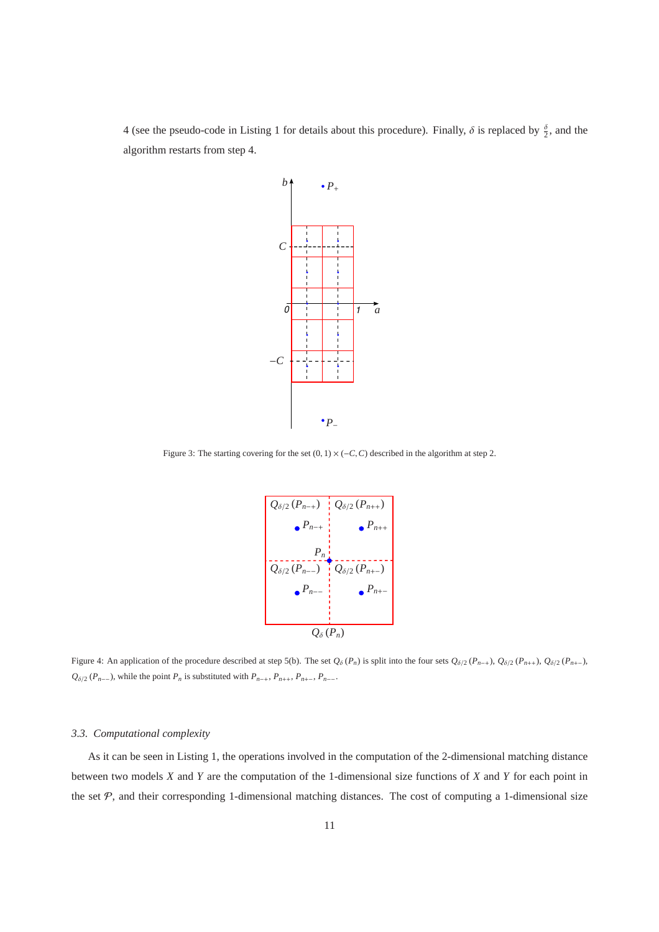4 (see the pseudo-code in Listing 1 for details about this procedure). Finally,  $\delta$  is replaced by  $\frac{\delta}{2}$ , and the algorithm restarts from step 4.



Figure 3: The starting covering for the set  $(0, 1) \times (-C, C)$  described in the algorithm at step 2.



Figure 4: An application of the procedure described at step 5(b). The set  $Q_{\delta}(P_n)$  is split into the four sets  $Q_{\delta/2}(P_{n+}), Q_{\delta/2}(P_{n+}), Q_{\delta/2}(P_{n-}),$  $Q_{\delta/2}$  (*P<sub>n</sub>*−−), while the point *P<sub>n</sub>* is substituted with *P<sub>n</sub>*−+, *P<sub>n++</sub>*, *P<sub>n+−</sub>*, *P<sub>n−−</sub>*.

## *3.3. Computational complexity*

As it can be seen in Listing 1, the operations involved in the computation of the 2-dimensional matching distance between two models *X* and *Y* are the computation of the 1-dimensional size functions of *X* and *Y* for each point in the set  $P$ , and their corresponding 1-dimensional matching distances. The cost of computing a 1-dimensional size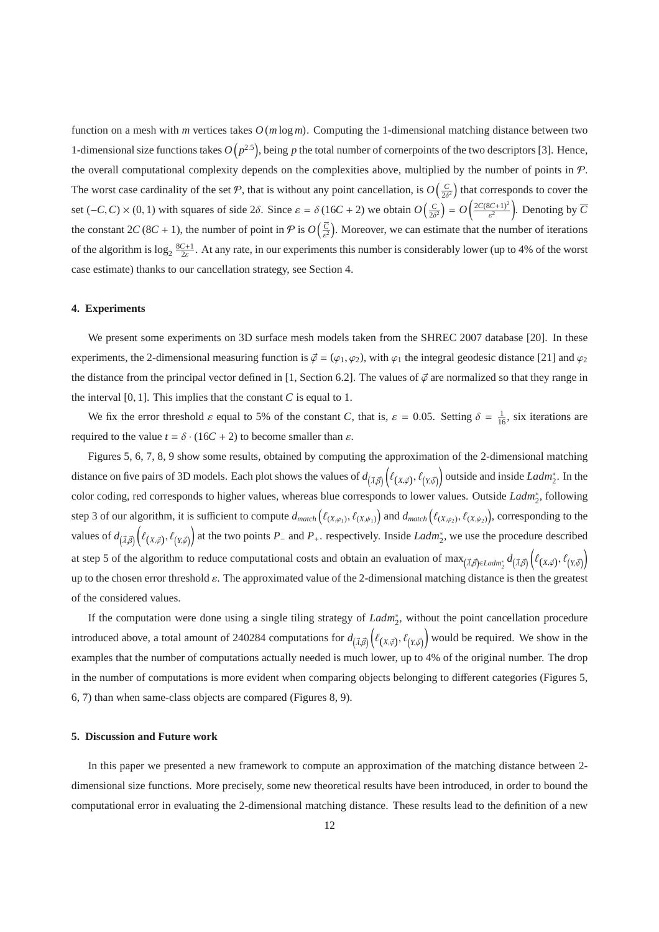function on a mesh with *m* vertices takes  $O(m \log m)$ . Computing the 1-dimensional matching distance between two 1-dimensional size functions takes  $O(p^{2.5})$ , being p the total number of cornerpoints of the two descriptors [3]. Hence, the overall computational complexity depends on the complexities above, multiplied by the number of points in  $P$ . The worst case cardinality of the set  $P$ , that is without any point cancellation, is  $O(\frac{C}{2\delta^2})$  that corresponds to cover the set  $(-C, C) \times (0, 1)$  with squares of side 2 $\delta$ . Since  $\varepsilon = \delta (16C + 2)$  we obtain  $O\left(\frac{C}{2\delta^2}\right) = O\left(\frac{2C(8C+1)^2}{\varepsilon^2}\right)$  $\frac{(BC+1)^2}{\varepsilon^2}$ . Denoting by  $\overline{C}$ the constant  $2C(8C + 1)$ , the number of point in  $P$  is  $O\left(\frac{\overline{C}}{\epsilon^2}\right)$ . Moreover, we can estimate that the number of iterations of the algorithm is  $\log_2 \frac{8C+1}{2\epsilon}$ . At any rate, in our experiments this number is considerably lower (up to 4% of the worst case estimate) thanks to our cancellation strategy, see Section 4.

#### **4. Experiments**

We present some experiments on 3D surface mesh models taken from the SHREC 2007 database [20]. In these experiments, the 2-dimensional measuring function is  $\vec{\varphi} = (\varphi_1, \varphi_2)$ , with  $\varphi_1$  the integral geodesic distance [21] and  $\varphi_2$ the distance from the principal vector defined in [1, Section 6.2]. The values of  $\phi$  are normalized so that they range in the interval  $[0, 1]$ . This implies that the constant *C* is equal to 1.

We fix the error threshold  $\varepsilon$  equal to 5% of the constant *C*, that is,  $\varepsilon = 0.05$ . Setting  $\delta = \frac{1}{16}$ , six iterations are required to the value  $t = \delta \cdot (16C + 2)$  to become smaller than  $\varepsilon$ .

Figures 5, 6, 7, 8, 9 show some results, obtained by computing the approximation of the 2-dimensional matching distance on five pairs of 3D models. Each plot shows the values of  $d_{(\vec{\lambda},\vec{\beta})}\Big(\ell_{(X,\vec{\phi})},\ell_{(Y,\vec{\phi})}\Big)$  outside and inside *Ladm*½. In the color coding, red corresponds to higher values, whereas blue corresponds to lower values. Outside *Ladm*<sup>∗</sup><sub>2</sub>, following step 3 of our algorithm, it is sufficient to compute  $d_{match}(\ell_{(X,\varphi_1)}, \ell_{(X,\psi_1)})$  and  $d_{match}(\ell_{(X,\varphi_2)}, \ell_{(X,\psi_2)})$ , corresponding to the values of  $d_{(\vec{\lambda}, \vec{\beta})}(\ell_{(X, \vec{\varphi})}, \ell_{(Y, \vec{\psi})})$  at the two points *P*<sub>−</sub> and *P*<sub>+</sub>. respectively. Inside *Ladm*<sup>\*</sup><sub>2</sub>, we use the procedure described at step 5 of the algorithm to reduce computational costs and obtain an evaluation of max $_{(\vec{\lambda},\vec{\beta})\in Ladm_2^*}d_{(\vec{\lambda},\vec{\beta})}\Big(\ell(x,\vec{\beta})\cdot\ell_{(x,\vec{\psi})}\Big)$ up to the chosen error threshold  $\varepsilon$ . The approximated value of the 2-dimensional matching distance is then the greatest of the considered values.

If the computation were done using a single tiling strategy of *Ladm*<sup>\*</sup><sub>2</sub>, without the point cancellation procedure introduced above, a total amount of 240284 computations for  $d_{(\vec{\lambda}, \vec{\beta})}(\ell_{(X, \vec{\varphi})}, \ell_{(Y, \vec{\varphi})})$  would be required. We show in the examples that the number of computations actually needed is much lower, up to 4% of the original number. The drop in the number of computations is more evident when comparing objects belonging to different categories (Figures 5, 6, 7) than when same-class objects are compared (Figures 8, 9).

#### **5. Discussion and Future work**

In this paper we presented a new framework to compute an approximation of the matching distance between 2 dimensional size functions. More precisely, some new theoretical results have been introduced, in order to bound the computational error in evaluating the 2-dimensional matching distance. These results lead to the definition of a new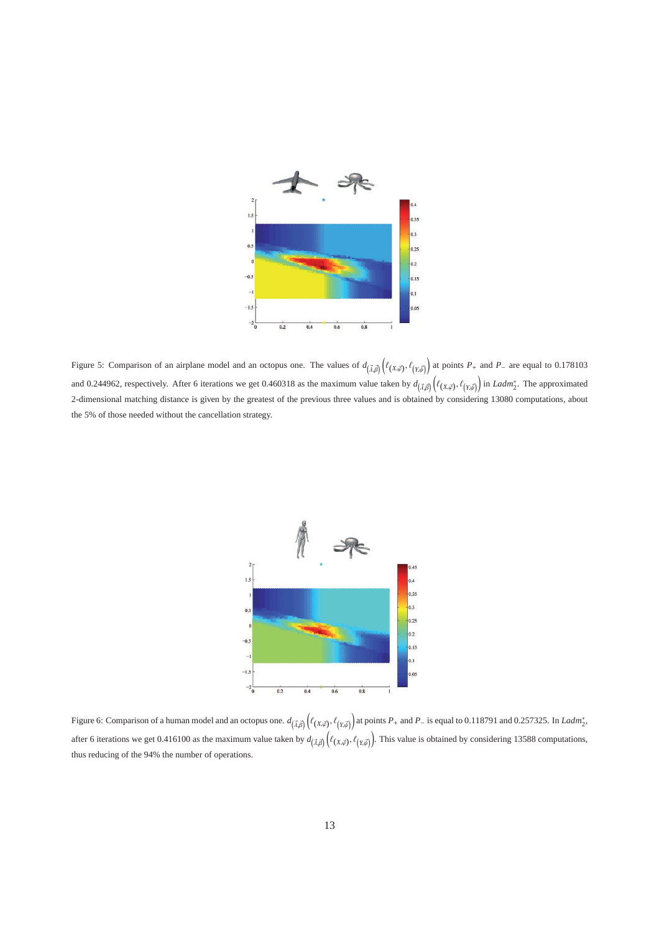

Figure 5: Comparison of an airplane model and an octopus one. The values of  $d_{(\vec{\lambda}, \vec{\beta})} \left( \ell_{(X, \vec{\phi})}, \ell_{(Y, \vec{\phi})} \right)$  at points  $P_+$  and  $P_-$  are equal to 0.178103 and 0.244962, respectively. After 6 iterations we get 0.460318 as the maximum value taken by  $d_{(\vec{\lambda},\vec{\beta})}(\ell_{(X,\vec{\phi})}, \ell_{(Y,\vec{\phi})})$  in *Ladm*<sup>\*</sup><sub>2</sub>. The approximated 2-dimensional matching distance is given by the greatest of the previous three values and is obtained by considering 13080 computations, about the 5% of those needed without the cancellation strategy.



Figure 6: Comparison of a human model and an octopus one.  $d_{(\vec{\lambda},\vec{\beta})}\Big(\ell_{(X,\vec{\beta})},\ell_{(Y,\vec{\beta})}\Big)$  at points  $P_+$  and  $P_-$  is equal to 0.118791 and 0.257325. In *Ladm*<sup>\*</sup><sub>2</sub>, after 6 iterations we get 0.416100 as the maximum value taken by  $d_{(\vec{\lambda}, \vec{\beta})}(\ell_{(X, \vec{\phi})}, \ell_{(Y, \vec{\phi})})$ . This value is obtained by considering 13588 computations, thus reducing of the 94% the number of operations.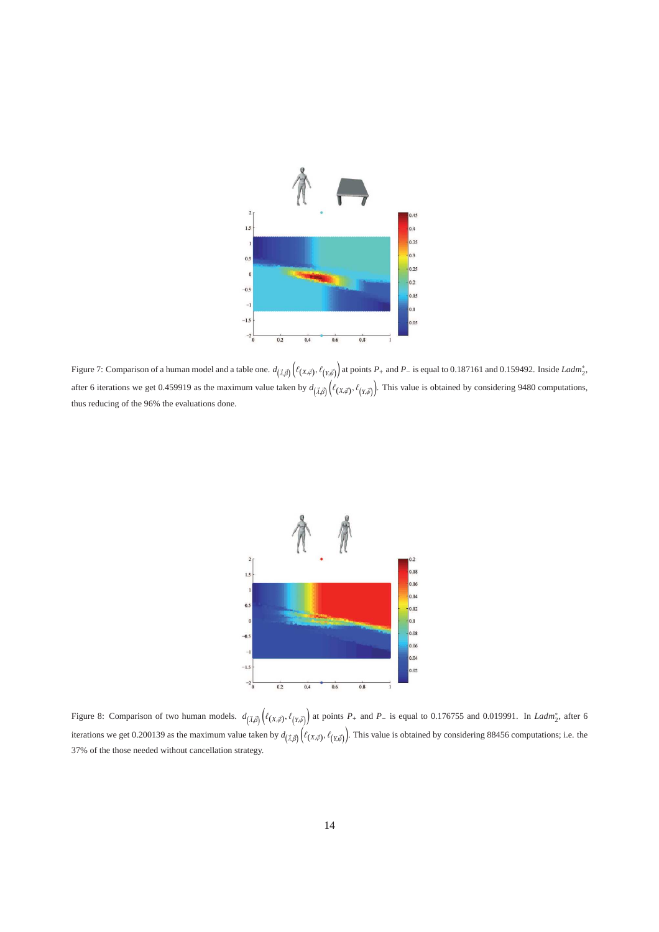

Figure 7: Comparison of a human model and a table one.  $d_{(\vec{\lambda}, \vec{\beta})} \left( \ell_{(X, \vec{\phi})}, \ell_{(Y, \vec{\phi})} \right)$  at points  $P_+$  and  $P_-$  is equal to 0.187161 and 0.159492. Inside *Ladm*<sup>\*</sup><sub>2</sub>, after 6 iterations we get 0.459919 as the maximum value taken by  $d_{(\vec{\lambda}, \vec{\beta})}(\ell_{(X, \vec{\beta})}, \ell_{(Y, \vec{\psi})})$ . This value is obtained by considering 9480 computations, thus reducing of the 96% the evaluations done.



Figure 8: Comparison of two human models.  $d_{(\vec{\lambda}, \vec{\beta})}(\ell_{(X, \vec{\phi})}, \ell_{(Y, \vec{\phi})})$  at points  $P_+$  and  $P_-$  is equal to 0.176755 and 0.019991. In *Ladm*<sup>\*</sup><sub>2</sub>, after 6 iterations we get 0.200139 as the maximum value taken by  $d_{(\vec{\lambda}, \vec{\beta})}(\ell_{(X, \vec{\beta})}, \ell_{(Y, \vec{\psi})})$ . This value is obtained by considering 88456 computations; i.e. the 37% of the those needed without cancellation strategy.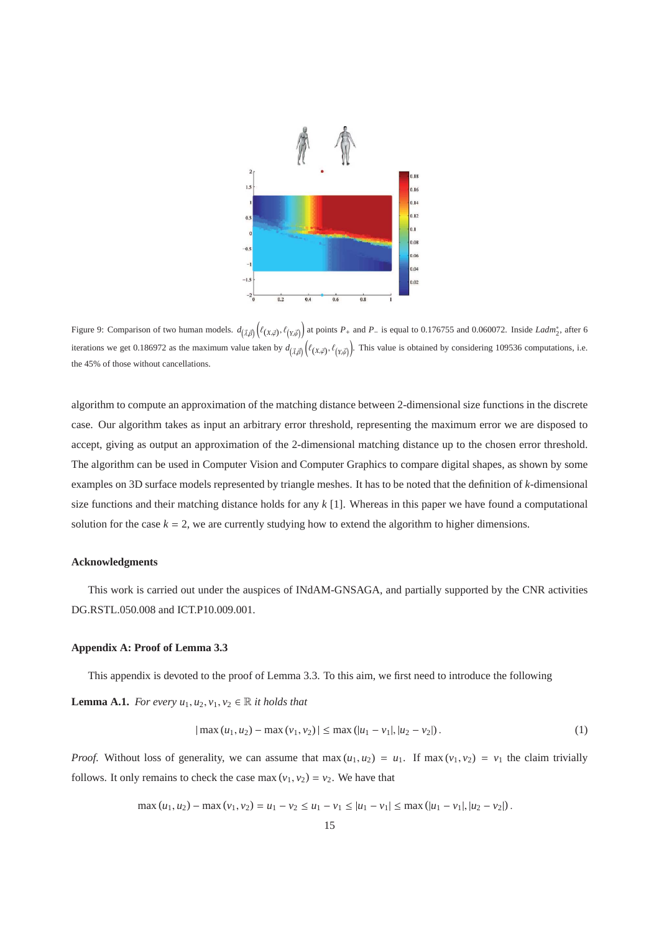

Figure 9: Comparison of two human models.  $d_{(\vec{\lambda}, \vec{\beta})}(\ell_{(X, \vec{\phi})}, \ell_{(Y, \vec{\phi})})$  at points  $P_+$  and  $P_-$  is equal to 0.176755 and 0.060072. Inside *Ladm*<sup>\*</sup><sub>2</sub>, after 6 iterations we get 0.186972 as the maximum value taken by  $d_{(\vec{\lambda}, \vec{\beta})}(\ell_{(X, \vec{\phi})}, \ell_{(Y, \vec{\psi})})$ . This value is obtained by considering 109536 computations, i.e. the 45% of those without cancellations.

algorithm to compute an approximation of the matching distance between 2-dimensional size functions in the discrete case. Our algorithm takes as input an arbitrary error threshold, representing the maximum error we are disposed to accept, giving as output an approximation of the 2-dimensional matching distance up to the chosen error threshold. The algorithm can be used in Computer Vision and Computer Graphics to compare digital shapes, as shown by some examples on 3D surface models represented by triangle meshes. It has to be noted that the definition of *k*-dimensional size functions and their matching distance holds for any *k* [1]. Whereas in this paper we have found a computational solution for the case  $k = 2$ , we are currently studying how to extend the algorithm to higher dimensions.

#### **Acknowledgments**

This work is carried out under the auspices of INdAM-GNSAGA, and partially supported by the CNR activities DG.RSTL.050.008 and ICT.P10.009.001.

# **Appendix A: Proof of Lemma 3.3**

This appendix is devoted to the proof of Lemma 3.3. To this aim, we first need to introduce the following

**Lemma A.1.** *For every*  $u_1, u_2, v_1, v_2 \in \mathbb{R}$  *it holds that* 

$$
|\max(u_1, u_2) - \max(v_1, v_2)| \le \max(|u_1 - v_1|, |u_2 - v_2|). \tag{1}
$$

*Proof.* Without loss of generality, we can assume that max  $(u_1, u_2) = u_1$ . If max  $(v_1, v_2) = v_1$  the claim trivially follows. It only remains to check the case max  $(v_1, v_2) = v_2$ . We have that

$$
\max(u_1, u_2) - \max(v_1, v_2) = u_1 - v_2 \le u_1 - v_1 \le |u_1 - v_1| \le \max(|u_1 - v_1|, |u_2 - v_2|).
$$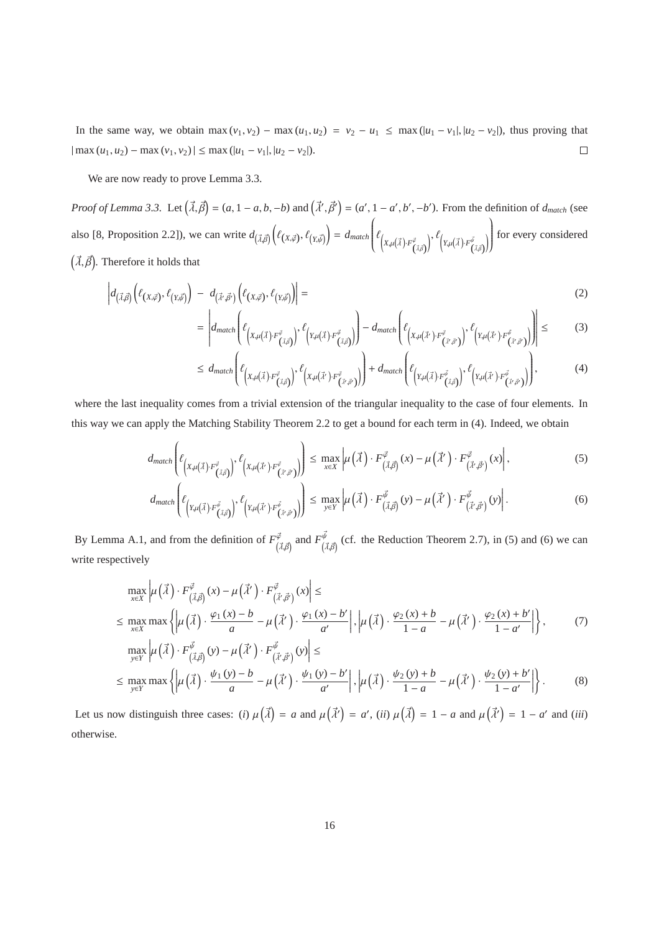In the same way, we obtain max  $(v_1, v_2)$  – max  $(u_1, u_2) = v_2 - u_1 \le \max(|u_1 - v_1|, |u_2 - v_2|)$ , thus proving that  $|\max(u_1, u_2) - \max(v_1, v_2)| \le \max(|u_1 - v_1|, |u_2 - v_2|).$  $\Box$ 

We are now ready to prove Lemma 3.3.

*Proof of Lemma 3.3.* Let  $(\vec{\lambda}, \vec{\beta}) = (a, 1 - a, b, -b)$  and  $(\vec{\lambda}', \vec{\beta}') = (a', 1 - a', b', -b')$ . From the definition of  $d_{match}$  (see also [8, Proposition 2.2]), we can write  $d_{(\vec{\lambda}, \vec{\beta})} \left( \ell_{(X, \vec{\phi})}, \ell_{(Y, \vec{\psi})} \right) = d_{match}$  $\overline{1}$  $\overline{\phantom{a}}$  $\ell_{\left(X,\mu\left(\vec{\lambda}\right)\cdot F_{\left(\vec{\lambda},\vec{\beta}\right)}^{\vec{\varphi}}\right)}$  $\Big)^{, \ \ell}\Big(\mathbf{Y}, \mu\big(\vec{\mathbf{\lambda}}\big) \cdot F^{\vec{\psi}}_{\big(\vec{\mathbf{\lambda}}\cdot\vec{\mathcal{B}}\big)}$ !  $\overline{ }$  $\begin{matrix} \phantom{-} \end{matrix}$ for every considered  $(\vec{\lambda}, \vec{\beta})$ . Therefore it holds that

$$
\left| d_{\left(\vec{\lambda},\vec{\beta}\right)} \left( \ell_{\left(X,\vec{\varphi}\right)}, \ell_{\left(Y,\vec{\beta}\right)} \right) - d_{\left(\vec{\lambda}',\vec{\beta}'\right)} \left( \ell_{\left(X,\vec{\varphi}\right)}, \ell_{\left(Y,\vec{\beta}\right)} \right) \right| = \tag{2}
$$

$$
= \left| d_{match} \left( \ell_{\left(X, \mu(\vec{\lambda}) \cdot F^{\vec{\vartheta}}_{(\vec{\lambda}, \vec{\beta})}\right)}, \ell_{\left(Y, \mu(\vec{\lambda}) \cdot F^{\vec{\vartheta}}_{(\vec{\lambda}, \vec{\beta})}\right)} \right) - d_{match} \left( \ell_{\left(X, \mu(\vec{\lambda'}) \cdot F^{\vec{\vartheta}}_{(\vec{\lambda'}, \vec{\beta'})}\right)}, \ell_{\left(Y, \mu(\vec{\lambda'}) \cdot F^{\vec{\vartheta}}_{(\vec{\lambda'}, \vec{\beta'})}\right)} \right) \right| \leq \tag{3}
$$

$$
\leq d_{match}\left(\ell_{\left(X,\mu(\vec{\lambda})\cdot F^{\vec{\vartheta}}_{(\vec{\lambda},\vec{\beta})}\right)},\ell_{\left(X,\mu(\vec{\lambda}')\cdot F^{\vec{\vartheta}}_{(\vec{\lambda}',\vec{\beta}')} \right)}\right) + d_{match}\left(\ell_{\left(Y,\mu(\vec{\lambda})\cdot F^{\vec{\vartheta}}_{(\vec{\lambda},\vec{\beta})}\right)},\ell_{\left(Y,\mu(\vec{\lambda}')\cdot F^{\vec{\vartheta}}_{(\vec{\lambda}',\vec{\beta}')} \right)}\right),\tag{4}
$$

where the last inequality comes from a trivial extension of the triangular inequality to the case of four elements. In this way we can apply the Matching Stability Theorem 2.2 to get a bound for each term in (4). Indeed, we obtain

$$
d_{match}\left(\ell_{\left(X,\mu(\vec{\lambda})\cdot F^{\vec{\varphi}}_{(\vec{\lambda},\vec{\beta})}\right)},\ell_{\left(X,\mu(\vec{\lambda}')\cdot F^{\vec{\varphi}}_{(\vec{\lambda}',\vec{\beta}')} \right)}\right) \leq \max_{x\in X} \left|\mu\left(\vec{\lambda}\right)\cdot F^{\vec{\varphi}}_{(\vec{\lambda},\vec{\beta})}(x) - \mu\left(\vec{\lambda}'\right)\cdot F^{\vec{\varphi}}_{(\vec{\lambda}',\vec{\beta}')}(x)\right|,\tag{5}
$$

$$
d_{match}\left(\ell_{\left(Y,\mu(\vec{\lambda})\cdot F^{\vec{\psi}}_{(\vec{\lambda},\vec{\beta})}\right)},\ell_{\left(Y,\mu(\vec{\lambda}')\cdot F^{\vec{\psi}}_{(\vec{\lambda}',\vec{\beta}')}\right)}\right) \leq \max_{y\in Y} \left|\mu\left(\vec{\lambda}\right)\cdot F^{\vec{\psi}}_{(\vec{\lambda},\vec{\beta})}(y) - \mu\left(\vec{\lambda}'\right)\cdot F^{\vec{\psi}}_{(\vec{\lambda}',\vec{\beta}')}(y)\right|.
$$
 (6)

By Lemma A.1, and from the definition of  $F_{(\vec{\lambda}, \vec{\beta})}^{\vec{\phi}}$  and  $F_{(\vec{\lambda}, \vec{\beta})}^{\vec{\phi}}$  (cf. the Reduction Theorem 2.7), in (5) and (6) we can write respectively

$$
\max_{x \in X} \left| \mu\left(\vec{\lambda}\right) \cdot F^{\vec{\varphi}}_{\left(\vec{\lambda}, \vec{\beta}\right)}(x) - \mu\left(\vec{\lambda}'\right) \cdot F^{\vec{\varphi}}_{\left(\vec{\lambda}', \vec{\beta}'\right)}(x) \right| \le
$$
\n
$$
\leq \max_{x \in X} \max \left\{ \left| \mu\left(\vec{\lambda}\right) \cdot \frac{\varphi_1\left(x\right) - b}{a} - \mu\left(\vec{\lambda}'\right) \cdot \frac{\varphi_1\left(x\right) - b'}{a'} \right|, \left| \mu\left(\vec{\lambda}\right) \cdot \frac{\varphi_2\left(x\right) + b}{1 - a} - \mu\left(\vec{\lambda}'\right) \cdot \frac{\varphi_2\left(x\right) + b'}{1 - a'} \right| \right\},\tag{7}
$$

$$
\max_{y \in Y} \left| \mu\left(\vec{\lambda}\right) \cdot F^{\vec{\psi}}_{\left(\vec{\lambda}, \vec{\beta}\right)}(y) - \mu\left(\vec{\lambda}'\right) \cdot F^{\vec{\psi}}_{\left(\vec{\lambda}', \vec{\beta}'\right)}(y) \right| \le
$$
\n
$$
\leq \max_{y \in Y} \max \left\{ \left| \mu\left(\vec{\lambda}\right) \cdot \frac{\psi_1\left(y\right) - b}{a} - \mu\left(\vec{\lambda}'\right) \cdot \frac{\psi_1\left(y\right) - b'}{a'} \right|, \left| \mu\left(\vec{\lambda}\right) \cdot \frac{\psi_2\left(y\right) + b}{1 - a} - \mu\left(\vec{\lambda}'\right) \cdot \frac{\psi_2\left(y\right) + b'}{1 - a'} \right| \right\}.
$$
\n(8)

Let us now distinguish three cases: (*i*)  $\mu(\vec{\lambda}) = a$  and  $\mu(\vec{\lambda}') = a'$ , (*ii*)  $\mu(\vec{\lambda}) = 1 - a$  and  $\mu(\vec{\lambda}') = 1 - a'$  and (*iii*) otherwise.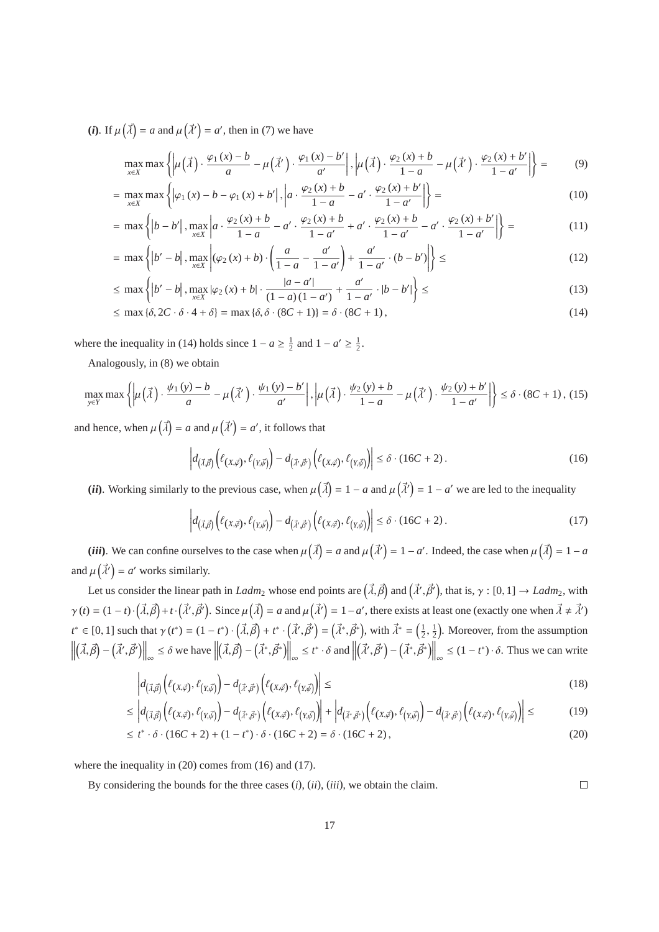(*i*). If  $\mu(\vec{\lambda}) = a$  and  $\mu(\vec{\lambda}') = a'$ , then in (7) we have

$$
\max_{x \in X} \max \left\{ \left| \mu\left(\vec{\lambda}\right) \cdot \frac{\varphi_1\left(x\right) - b}{a} - \mu\left(\vec{\lambda}'\right) \cdot \frac{\varphi_1\left(x\right) - b'}{a'} \right|, \left| \mu\left(\vec{\lambda}\right) \cdot \frac{\varphi_2\left(x\right) + b}{1 - a} - \mu\left(\vec{\lambda}'\right) \cdot \frac{\varphi_2\left(x\right) + b'}{1 - a'} \right| \right\} = \tag{9}
$$

$$
= \max_{x \in X} \max \left\{ |\varphi_1(x) - b - \varphi_1(x) + b'|, \left| a \cdot \frac{\varphi_2(x) + b'}{1 - a} - a' \cdot \frac{\varphi_2(x) + b'}{1 - a'} \right| \right\} =
$$
(10)

$$
= \max \left\{ \left| b - b' \right|, \max_{x \in X} \left| a \cdot \frac{\varphi_2(x) + b}{1 - a} - a' \cdot \frac{\varphi_2(x) + b}{1 - a'} + a' \cdot \frac{\varphi_2(x) + b}{1 - a'} - a' \cdot \frac{\varphi_2(x) + b'}{1 - a'} \right| \right\} = \tag{11}
$$

$$
= \max \left\{ |b' - b|, \max_{x \in X} |(\varphi_2(x) + b) \cdot \left( \frac{a}{1 - a} - \frac{a'}{1 - a'} \right) + \frac{a'}{1 - a'} \cdot (b - b') \right\} \leq
$$
(12)

$$
\leq \max \left\{ \left| b' - b \right|, \max_{x \in X} \left| \varphi_2(x) + b \right| \cdot \frac{\left| a - a' \right|}{(1 - a)(1 - a')} + \frac{a'}{1 - a'} \cdot \left| b - b' \right| \right\} \leq (13)
$$

$$
\leq \max \left\{ \delta, 2C \cdot \delta \cdot 4 + \delta \right\} = \max \left\{ \delta, \delta \cdot (8C + 1) \right\} = \delta \cdot (8C + 1),\tag{14}
$$

where the inequality in (14) holds since  $1 - a \ge \frac{1}{2}$  and  $1 - a' \ge \frac{1}{2}$ .

Analogously, in (8) we obtain

$$
\max_{y \in Y} \max \left\{ \left| \mu\left(\vec{\lambda}\right) \cdot \frac{\psi_1\left(y\right) - b}{a} - \mu\left(\vec{\lambda}'\right) \cdot \frac{\psi_1\left(y\right) - b'}{a'} \right|, \left| \mu\left(\vec{\lambda}\right) \cdot \frac{\psi_2\left(y\right) + b}{1 - a} - \mu\left(\vec{\lambda}'\right) \cdot \frac{\psi_2\left(y\right) + b'}{1 - a'} \right| \right\} \le \delta \cdot (8C + 1), \tag{15}
$$

and hence, when  $\mu(\vec{\lambda}) = a$  and  $\mu(\vec{\lambda}') = a'$ , it follows that

$$
\left| d_{\left(\vec{\lambda},\vec{\beta}\right)} \left( \ell_{\left(X,\vec{\varphi}\right)}, \ell_{\left(Y,\vec{\psi}\right)} \right) - d_{\left(\vec{\lambda}',\vec{\beta}'\right)} \left( \ell_{\left(X,\vec{\varphi}\right)}, \ell_{\left(Y,\vec{\psi}\right)} \right) \right| \le \delta \cdot (16C + 2). \tag{16}
$$

(*ii*). Working similarly to the previous case, when  $\mu(\vec{\lambda}) = 1 - a$  and  $\mu(\vec{\lambda}') = 1 - a'$  we are led to the inequality

$$
\left| d_{\left(\vec{\lambda},\vec{\beta}\right)} \left(\ell_{\left(X,\vec{\varphi}\right)},\ell_{\left(Y,\vec{\beta}\right)}\right) - d_{\left(\vec{\lambda}',\vec{\beta}'\right)} \left(\ell_{\left(X,\vec{\varphi}\right)},\ell_{\left(Y,\vec{\beta}\right)}\right) \right| \leq \delta \cdot (16C + 2). \tag{17}
$$

(*iii*). We can confine ourselves to the case when  $\mu(\vec{\lambda}) = a$  and  $\mu(\vec{\lambda}') = 1 - a'$ . Indeed, the case when  $\mu(\vec{\lambda}) = 1 - a$ and  $\mu(\vec{\lambda}') = a'$  works similarly.

Let us consider the linear path in *Ladm*<sub>2</sub> whose end points are  $(\vec{\lambda}, \vec{\beta})$  and  $(\vec{\lambda}', \vec{\beta}')$ , that is,  $\gamma : [0, 1] \to \text{Ladm}_2$ , with  $\gamma(t) = (1-t)\cdot(\vec{\lambda}, \vec{\beta}) + t\cdot(\vec{\lambda}', \vec{\beta}')$ . Since  $\mu(\vec{\lambda}) = a$  and  $\mu(\vec{\lambda}') = 1 - a'$ , there exists at least one (exactly one when  $\vec{\lambda} \neq \vec{\lambda}'$ )  $t^* \in [0, 1]$  such that  $\gamma(t^*) = (1 - t^*) \cdot (\vec{\lambda}, \vec{\beta}) + t^* \cdot (\vec{\lambda}', \vec{\beta}') = (\vec{\lambda}^*, \vec{\beta}^*)$ , with  $\vec{\lambda}^* = (\frac{1}{2}, \frac{1}{2})$ . Moreover, from the assumption  $(\vec{\lambda}, \vec{\beta}) - (\vec{\lambda}', \vec{\beta}') \Big\|_{\infty} \le \delta$  we have  $\Big\|$  $(\vec{\lambda}, \vec{\beta}) - (\vec{\lambda}^*, \vec{\beta}^*) \Big\|_{\infty} \leq t^* \cdot \delta \text{ and } \Big\|$  $(\vec{\lambda}', \vec{\beta}') - (\vec{\lambda}^*, \vec{\beta}^*)\Big\|_{\infty} \le (1 - t^*) \cdot \delta$ . Thus we can write

$$
\left| d_{\left(\vec{\lambda},\vec{\beta}\right)} \left( \ell(x,\vec{\varphi}), \ell(y,\vec{\psi}) \right) - d_{\left(\vec{\lambda}',\vec{\beta}'\right)} \left( \ell(y,\vec{\varphi}), \ell(y,\vec{\psi}) \right) \right| \leq \tag{18}
$$

$$
\leq \left| d_{\left(\vec{\lambda},\vec{\beta}\right)} \left( \ell_{\left(X,\vec{\varphi}\right)},\ell_{\left(Y,\vec{\psi}\right)} \right) - d_{\left(\vec{\lambda}^*,\vec{\beta}^*\right)} \left( \ell_{\left(X,\vec{\varphi}\right)},\ell_{\left(Y,\vec{\psi}\right)} \right) \right| + \left| d_{\left(\vec{\lambda}^*,\vec{\beta}^*\right)} \left( \ell_{\left(X,\vec{\varphi}\right)},\ell_{\left(Y,\vec{\psi}\right)} \right) - d_{\left(\vec{\lambda}^*,\vec{\beta}^*\right)} \left( \ell_{\left(X,\vec{\varphi}\right)},\ell_{\left(Y,\vec{\psi}\right)} \right) \right| \leq \tag{19}
$$

$$
\leq t^* \cdot \delta \cdot (16C + 2) + (1 - t^*) \cdot \delta \cdot (16C + 2) = \delta \cdot (16C + 2),\tag{20}
$$

where the inequality in (20) comes from (16) and (17).

By considering the bounds for the three cases (*i*), (*ii*), (*iii*), we obtain the claim.  $\Box$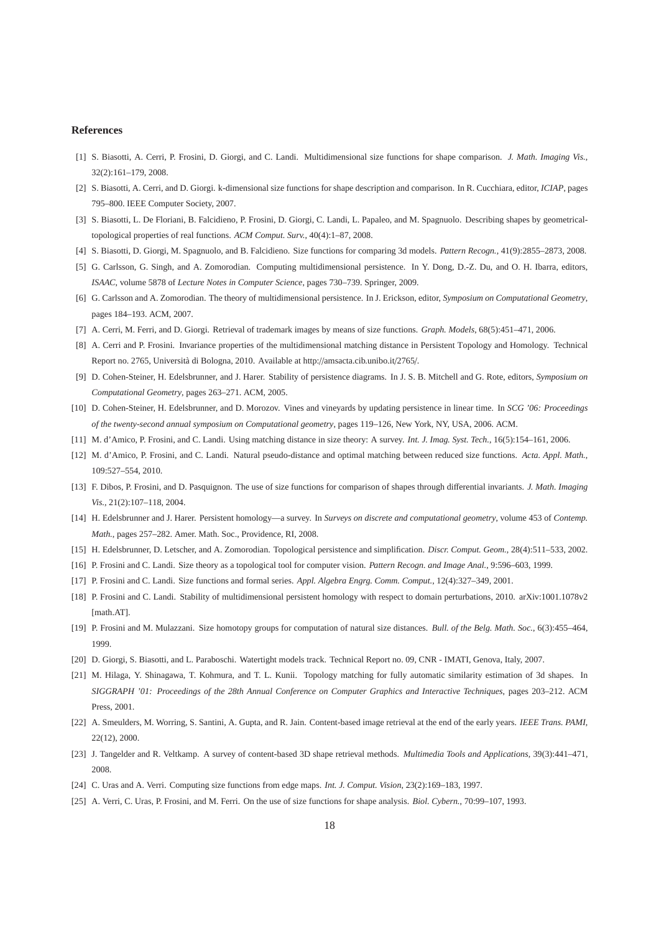## **References**

- [1] S. Biasotti, A. Cerri, P. Frosini, D. Giorgi, and C. Landi. Multidimensional size functions for shape comparison. *J. Math. Imaging Vis.*, 32(2):161–179, 2008.
- [2] S. Biasotti, A. Cerri, and D. Giorgi. k-dimensional size functions for shape description and comparison. In R. Cucchiara, editor, *ICIAP*, pages 795–800. IEEE Computer Society, 2007.
- [3] S. Biasotti, L. De Floriani, B. Falcidieno, P. Frosini, D. Giorgi, C. Landi, L. Papaleo, and M. Spagnuolo. Describing shapes by geometricaltopological properties of real functions. *ACM Comput. Surv.*, 40(4):1–87, 2008.
- [4] S. Biasotti, D. Giorgi, M. Spagnuolo, and B. Falcidieno. Size functions for comparing 3d models. *Pattern Recogn.*, 41(9):2855–2873, 2008.
- [5] G. Carlsson, G. Singh, and A. Zomorodian. Computing multidimensional persistence. In Y. Dong, D.-Z. Du, and O. H. Ibarra, editors, *ISAAC*, volume 5878 of *Lecture Notes in Computer Science*, pages 730–739. Springer, 2009.
- [6] G. Carlsson and A. Zomorodian. The theory of multidimensional persistence. In J. Erickson, editor, *Symposium on Computational Geometry*, pages 184–193. ACM, 2007.
- [7] A. Cerri, M. Ferri, and D. Giorgi. Retrieval of trademark images by means of size functions. *Graph. Models*, 68(5):451–471, 2006.
- [8] A. Cerri and P. Frosini. Invariance properties of the multidimensional matching distance in Persistent Topology and Homology. Technical Report no. 2765, Università di Bologna, 2010. Available at http://amsacta.cib.unibo.it/2765/.
- [9] D. Cohen-Steiner, H. Edelsbrunner, and J. Harer. Stability of persistence diagrams. In J. S. B. Mitchell and G. Rote, editors, *Symposium on Computational Geometry*, pages 263–271. ACM, 2005.
- [10] D. Cohen-Steiner, H. Edelsbrunner, and D. Morozov. Vines and vineyards by updating persistence in linear time. In *SCG '06: Proceedings of the twenty-second annual symposium on Computational geometry*, pages 119–126, New York, NY, USA, 2006. ACM.
- [11] M. d'Amico, P. Frosini, and C. Landi. Using matching distance in size theory: A survey. *Int. J. Imag. Syst. Tech.*, 16(5):154–161, 2006.
- [12] M. d'Amico, P. Frosini, and C. Landi. Natural pseudo-distance and optimal matching between reduced size functions. *Acta. Appl. Math.*, 109:527–554, 2010.
- [13] F. Dibos, P. Frosini, and D. Pasquignon. The use of size functions for comparison of shapes through differential invariants. *J. Math. Imaging Vis.*, 21(2):107–118, 2004.
- [14] H. Edelsbrunner and J. Harer. Persistent homology—a survey. In *Surveys on discrete and computational geometry*, volume 453 of *Contemp. Math.*, pages 257–282. Amer. Math. Soc., Providence, RI, 2008.
- [15] H. Edelsbrunner, D. Letscher, and A. Zomorodian. Topological persistence and simplification. *Discr. Comput. Geom.*, 28(4):511–533, 2002.
- [16] P. Frosini and C. Landi. Size theory as a topological tool for computer vision. *Pattern Recogn. and Image Anal.*, 9:596–603, 1999.
- [17] P. Frosini and C. Landi. Size functions and formal series. *Appl. Algebra Engrg. Comm. Comput.*, 12(4):327–349, 2001.
- [18] P. Frosini and C. Landi. Stability of multidimensional persistent homology with respect to domain perturbations, 2010. arXiv:1001.1078v2 [math.AT].
- [19] P. Frosini and M. Mulazzani. Size homotopy groups for computation of natural size distances. *Bull. of the Belg. Math. Soc.*, 6(3):455–464, 1999.
- [20] D. Giorgi, S. Biasotti, and L. Paraboschi. Watertight models track. Technical Report no. 09, CNR IMATI, Genova, Italy, 2007.
- [21] M. Hilaga, Y. Shinagawa, T. Kohmura, and T. L. Kunii. Topology matching for fully automatic similarity estimation of 3d shapes. In *SIGGRAPH '01: Proceedings of the 28th Annual Conference on Computer Graphics and Interactive Techniques*, pages 203–212. ACM Press, 2001.
- [22] A. Smeulders, M. Worring, S. Santini, A. Gupta, and R. Jain. Content-based image retrieval at the end of the early years. *IEEE Trans. PAMI*, 22(12), 2000.
- [23] J. Tangelder and R. Veltkamp. A survey of content-based 3D shape retrieval methods. *Multimedia Tools and Applications*, 39(3):441–471, 2008.
- [24] C. Uras and A. Verri. Computing size functions from edge maps. *Int. J. Comput. Vision*, 23(2):169–183, 1997.
- [25] A. Verri, C. Uras, P. Frosini, and M. Ferri. On the use of size functions for shape analysis. *Biol. Cybern.*, 70:99–107, 1993.